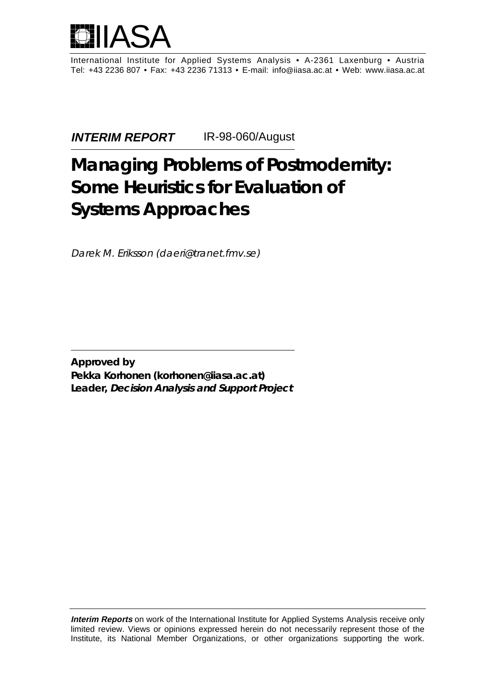

International Institute for Applied Systems Analysis • A-2361 Laxenburg • Austria Tel: +43 2236 807 • Fax: +43 2236 71313 • E-mail: info@iiasa.ac.at • Web: www.iiasa.ac.at

**INTERIM REPORT** IR-98-060/August

# **Managing Problems of Postmodernity: Some Heuristics for Evaluation of Systems Approaches**

Darek M. Eriksson (daeri@tranet.fmv.se)

**Approved by Pekka Korhonen (korhonen@iiasa.ac.at) Leader, Decision Analysis and Support Project**

**Interim Reports** on work of the International Institute for Applied Systems Analysis receive only limited review. Views or opinions expressed herein do not necessarily represent those of the Institute, its National Member Organizations, or other organizations supporting the work.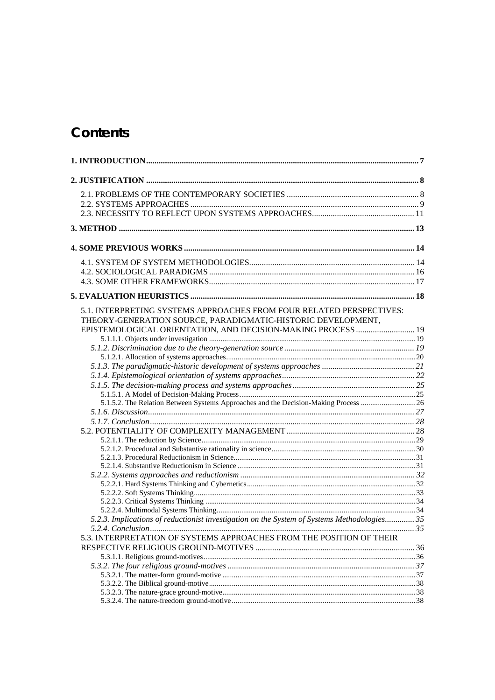# Contents

| 5.1. INTERPRETING SYSTEMS APPROACHES FROM FOUR RELATED PERSPECTIVES:<br>THEORY-GENERATION SOURCE, PARADIGMATIC-HISTORIC DEVELOPMENT, |  |
|--------------------------------------------------------------------------------------------------------------------------------------|--|
| EPISTEMOLOGICAL ORIENTATION, AND DECISION-MAKING PROCESS  19                                                                         |  |
|                                                                                                                                      |  |
|                                                                                                                                      |  |
|                                                                                                                                      |  |
|                                                                                                                                      |  |
|                                                                                                                                      |  |
|                                                                                                                                      |  |
| 5.1.5.2. The Relation Between Systems Approaches and the Decision-Making Process 26                                                  |  |
|                                                                                                                                      |  |
|                                                                                                                                      |  |
|                                                                                                                                      |  |
|                                                                                                                                      |  |
|                                                                                                                                      |  |
|                                                                                                                                      |  |
|                                                                                                                                      |  |
|                                                                                                                                      |  |
|                                                                                                                                      |  |
|                                                                                                                                      |  |
|                                                                                                                                      |  |
|                                                                                                                                      |  |
| 5.2.3. Implications of reductionist investigation on the System of Systems Methodologies 35                                          |  |
|                                                                                                                                      |  |
| 5.3. INTERPRETATION OF SYSTEMS APPROACHES FROM THE POSITION OF THEIR                                                                 |  |
|                                                                                                                                      |  |
|                                                                                                                                      |  |
|                                                                                                                                      |  |
|                                                                                                                                      |  |
|                                                                                                                                      |  |
|                                                                                                                                      |  |
|                                                                                                                                      |  |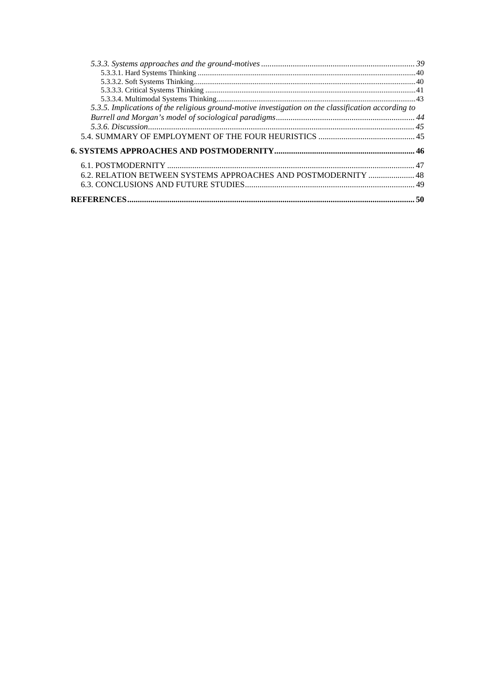| 5.3.5. Implications of the religious ground-motive investigation on the classification according to |  |
|-----------------------------------------------------------------------------------------------------|--|
|                                                                                                     |  |
|                                                                                                     |  |
|                                                                                                     |  |
|                                                                                                     |  |
|                                                                                                     |  |
| 6.2. RELATION BETWEEN SYSTEMS APPROACHES AND POSTMODERNITY  48                                      |  |
|                                                                                                     |  |
|                                                                                                     |  |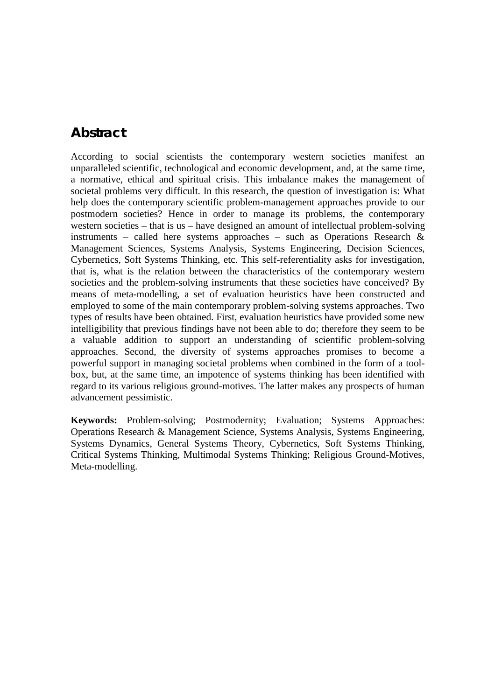# **Abstract**

According to social scientists the contemporary western societies manifest an unparalleled scientific, technological and economic development, and, at the same time, a normative, ethical and spiritual crisis. This imbalance makes the management of societal problems very difficult. In this research, the question of investigation is: What help does the contemporary scientific problem-management approaches provide to our postmodern societies? Hence in order to manage its problems, the contemporary western societies – that is us – have designed an amount of intellectual problem-solving instruments – called here systems approaches – such as Operations Research  $\&$ Management Sciences, Systems Analysis, Systems Engineering, Decision Sciences, Cybernetics, Soft Systems Thinking, etc. This self-referentiality asks for investigation, that is, what is the relation between the characteristics of the contemporary western societies and the problem-solving instruments that these societies have conceived? By means of meta-modelling, a set of evaluation heuristics have been constructed and employed to some of the main contemporary problem-solving systems approaches. Two types of results have been obtained. First, evaluation heuristics have provided some new intelligibility that previous findings have not been able to do; therefore they seem to be a valuable addition to support an understanding of scientific problem-solving approaches. Second, the diversity of systems approaches promises to become a powerful support in managing societal problems when combined in the form of a toolbox, but, at the same time, an impotence of systems thinking has been identified with regard to its various religious ground-motives. The latter makes any prospects of human advancement pessimistic.

**Keywords:** Problem-solving; Postmodernity; Evaluation; Systems Approaches: Operations Research & Management Science, Systems Analysis, Systems Engineering, Systems Dynamics, General Systems Theory, Cybernetics, Soft Systems Thinking, Critical Systems Thinking, Multimodal Systems Thinking; Religious Ground-Motives, Meta-modelling.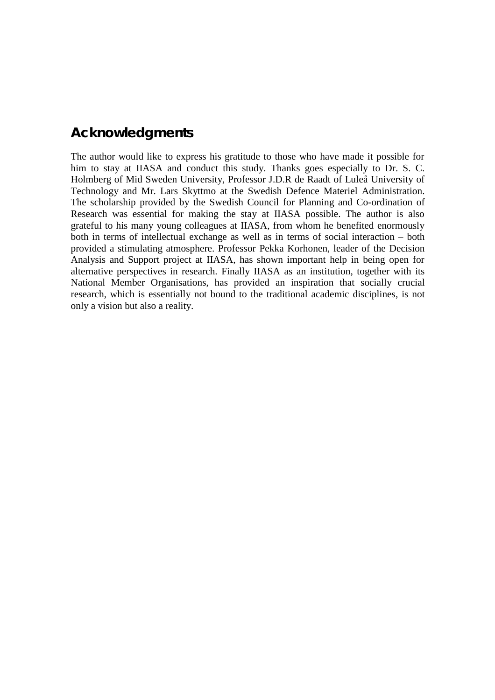# **Acknowledgments**

The author would like to express his gratitude to those who have made it possible for him to stay at IIASA and conduct this study. Thanks goes especially to Dr. S. C. Holmberg of Mid Sweden University, Professor J.D.R de Raadt of Luleå University of Technology and Mr. Lars Skyttmo at the Swedish Defence Materiel Administration. The scholarship provided by the Swedish Council for Planning and Co-ordination of Research was essential for making the stay at IIASA possible. The author is also grateful to his many young colleagues at IIASA, from whom he benefited enormously both in terms of intellectual exchange as well as in terms of social interaction – both provided a stimulating atmosphere. Professor Pekka Korhonen, leader of the Decision Analysis and Support project at IIASA, has shown important help in being open for alternative perspectives in research. Finally IIASA as an institution, together with its National Member Organisations, has provided an inspiration that socially crucial research, which is essentially not bound to the traditional academic disciplines, is not only a vision but also a reality.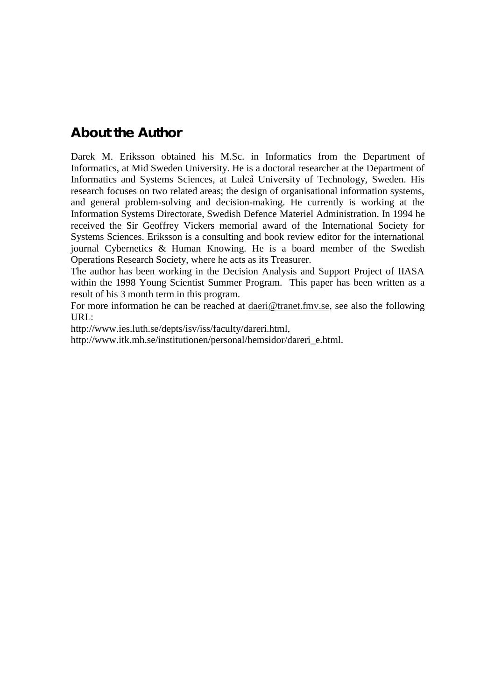# **About the Author**

Darek M. Eriksson obtained his M.Sc. in Informatics from the Department of Informatics, at Mid Sweden University. He is a doctoral researcher at the Department of Informatics and Systems Sciences, at Luleå University of Technology, Sweden. His research focuses on two related areas; the design of organisational information systems, and general problem-solving and decision-making. He currently is working at the Information Systems Directorate, Swedish Defence Materiel Administration. In 1994 he received the Sir Geoffrey Vickers memorial award of the International Society for Systems Sciences. Eriksson is a consulting and book review editor for the international journal Cybernetics & Human Knowing. He is a board member of the Swedish Operations Research Society, where he acts as its Treasurer.

The author has been working in the Decision Analysis and Support Project of IIASA within the 1998 Young Scientist Summer Program. This paper has been written as a result of his 3 month term in this program.

For more information he can be reached at daeri@tranet.fmv.se, see also the following URL:

http://www.ies.luth.se/depts/isv/iss/faculty/dareri.html,

http://www.itk.mh.se/institutionen/personal/hemsidor/dareri\_e.html.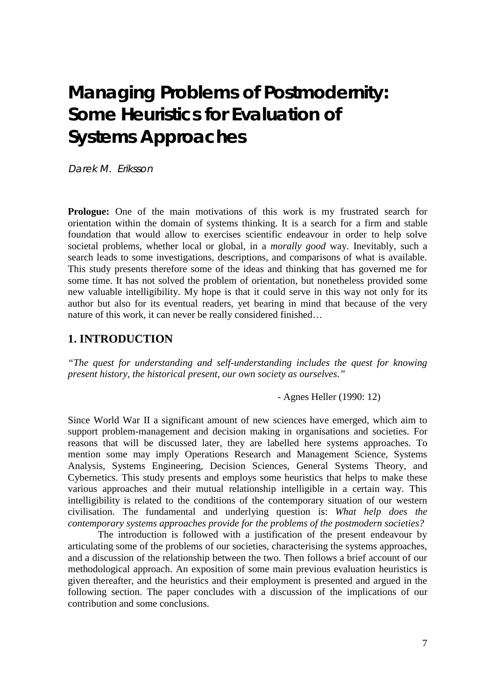# **Managing Problems of Postmodernity: Some Heuristics for Evaluation of Systems Approaches**

Darek M. Eriksson

**Prologue:** One of the main motivations of this work is my frustrated search for orientation within the domain of systems thinking. It is a search for a firm and stable foundation that would allow to exercises scientific endeavour in order to help solve societal problems, whether local or global, in a *morally good* way. Inevitably, such a search leads to some investigations, descriptions, and comparisons of what is available. This study presents therefore some of the ideas and thinking that has governed me for some time. It has not solved the problem of orientation, but nonetheless provided some new valuable intelligibility. My hope is that it could serve in this way not only for its author but also for its eventual readers, yet bearing in mind that because of the very nature of this work, it can never be really considered finished…

# **1. INTRODUCTION**

*"The quest for understanding and self-understanding includes the quest for knowing present history, the historical present, our own society as ourselves."*

- Agnes Heller (1990: 12)

Since World War II a significant amount of new sciences have emerged, which aim to support problem-management and decision making in organisations and societies. For reasons that will be discussed later, they are labelled here systems approaches. To mention some may imply Operations Research and Management Science, Systems Analysis, Systems Engineering, Decision Sciences, General Systems Theory, and Cybernetics. This study presents and employs some heuristics that helps to make these various approaches and their mutual relationship intelligible in a certain way. This intelligibility is related to the conditions of the contemporary situation of our western civilisation. The fundamental and underlying question is: *What help does the contemporary systems approaches provide for the problems of the postmodern societies?*

The introduction is followed with a justification of the present endeavour by articulating some of the problems of our societies, characterising the systems approaches, and a discussion of the relationship between the two. Then follows a brief account of our methodological approach. An exposition of some main previous evaluation heuristics is given thereafter, and the heuristics and their employment is presented and argued in the following section. The paper concludes with a discussion of the implications of our contribution and some conclusions.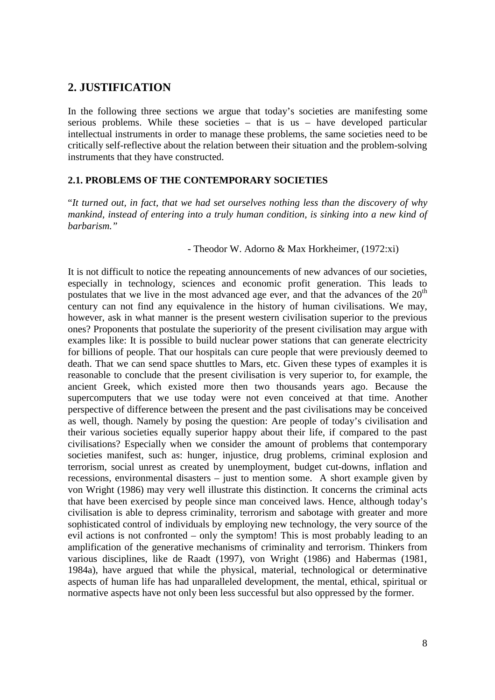# **2. JUSTIFICATION**

In the following three sections we argue that today's societies are manifesting some serious problems. While these societies – that is us – have developed particular intellectual instruments in order to manage these problems, the same societies need to be critically self-reflective about the relation between their situation and the problem-solving instruments that they have constructed.

# **2.1. PROBLEMS OF THE CONTEMPORARY SOCIETIES**

"*It turned out, in fact, that we had set ourselves nothing less than the discovery of why mankind, instead of entering into a truly human condition, is sinking into a new kind of barbarism."*

## - Theodor W. Adorno & Max Horkheimer, (1972:xi)

It is not difficult to notice the repeating announcements of new advances of our societies, especially in technology, sciences and economic profit generation. This leads to postulates that we live in the most advanced age ever, and that the advances of the  $20<sup>th</sup>$ century can not find any equivalence in the history of human civilisations. We may, however, ask in what manner is the present western civilisation superior to the previous ones? Proponents that postulate the superiority of the present civilisation may argue with examples like: It is possible to build nuclear power stations that can generate electricity for billions of people. That our hospitals can cure people that were previously deemed to death. That we can send space shuttles to Mars, etc. Given these types of examples it is reasonable to conclude that the present civilisation is very superior to, for example, the ancient Greek, which existed more then two thousands years ago. Because the supercomputers that we use today were not even conceived at that time. Another perspective of difference between the present and the past civilisations may be conceived as well, though. Namely by posing the question: Are people of today's civilisation and their various societies equally superior happy about their life, if compared to the past civilisations? Especially when we consider the amount of problems that contemporary societies manifest, such as: hunger, injustice, drug problems, criminal explosion and terrorism, social unrest as created by unemployment, budget cut-downs, inflation and recessions, environmental disasters – just to mention some. A short example given by von Wright (1986) may very well illustrate this distinction. It concerns the criminal acts that have been exercised by people since man conceived laws. Hence, although today's civilisation is able to depress criminality, terrorism and sabotage with greater and more sophisticated control of individuals by employing new technology, the very source of the evil actions is not confronted – only the symptom! This is most probably leading to an amplification of the generative mechanisms of criminality and terrorism. Thinkers from various disciplines, like de Raadt (1997), von Wright (1986) and Habermas (1981, 1984a), have argued that while the physical, material, technological or determinative aspects of human life has had unparalleled development, the mental, ethical, spiritual or normative aspects have not only been less successful but also oppressed by the former.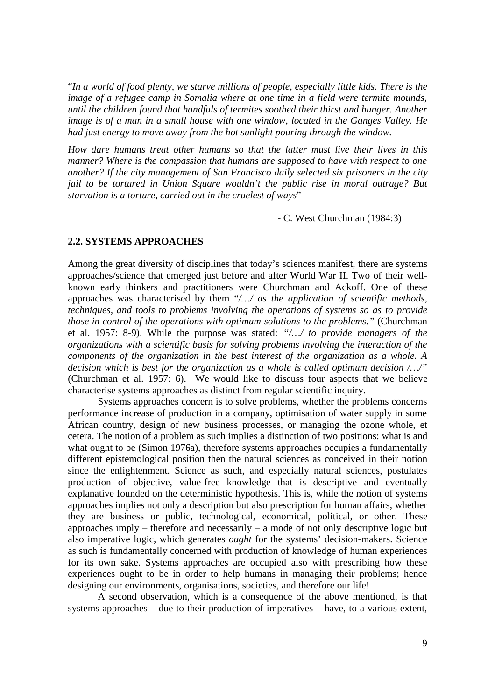"*In a world of food plenty, we starve millions of people, especially little kids. There is the image of a refugee camp in Somalia where at one time in a field were termite mounds, until the children found that handfuls of termites soothed their thirst and hunger. Another image is of a man in a small house with one window, located in the Ganges Valley. He had just energy to move away from the hot sunlight pouring through the window.*

*How dare humans treat other humans so that the latter must live their lives in this manner? Where is the compassion that humans are supposed to have with respect to one another? If the city management of San Francisco daily selected six prisoners in the city jail to be tortured in Union Square wouldn't the public rise in moral outrage? But starvation is a torture, carried out in the cruelest of ways*"

- C. West Churchman (1984:3)

## **2.2. SYSTEMS APPROACHES**

Among the great diversity of disciplines that today's sciences manifest, there are systems approaches/science that emerged just before and after World War II. Two of their wellknown early thinkers and practitioners were Churchman and Ackoff. One of these approaches was characterised by them "*/…/ as the application of scientific methods, techniques, and tools to problems involving the operations of systems so as to provide those in control of the operations with optimum solutions to the problems."* (Churchman et al. 1957: 8-9). While the purpose was stated: *"/…/ to provide managers of the organizations with a scientific basis for solving problems involving the interaction of the components of the organization in the best interest of the organization as a whole. A decision which is best for the organization as a whole is called optimum decision /…/"* (Churchman et al. 1957: 6). We would like to discuss four aspects that we believe characterise systems approaches as distinct from regular scientific inquiry.

Systems approaches concern is to solve problems, whether the problems concerns performance increase of production in a company, optimisation of water supply in some African country, design of new business processes, or managing the ozone whole, et cetera. The notion of a problem as such implies a distinction of two positions: what is and what ought to be (Simon 1976a), therefore systems approaches occupies a fundamentally different epistemological position then the natural sciences as conceived in their notion since the enlightenment. Science as such, and especially natural sciences, postulates production of objective, value-free knowledge that is descriptive and eventually explanative founded on the deterministic hypothesis. This is, while the notion of systems approaches implies not only a description but also prescription for human affairs, whether they are business or public, technological, economical, political, or other. These approaches imply – therefore and necessarily – a mode of not only descriptive logic but also imperative logic, which generates *ought* for the systems' decision-makers. Science as such is fundamentally concerned with production of knowledge of human experiences for its own sake. Systems approaches are occupied also with prescribing how these experiences ought to be in order to help humans in managing their problems; hence designing our environments, organisations, societies, and therefore our life!

A second observation, which is a consequence of the above mentioned, is that systems approaches – due to their production of imperatives – have, to a various extent,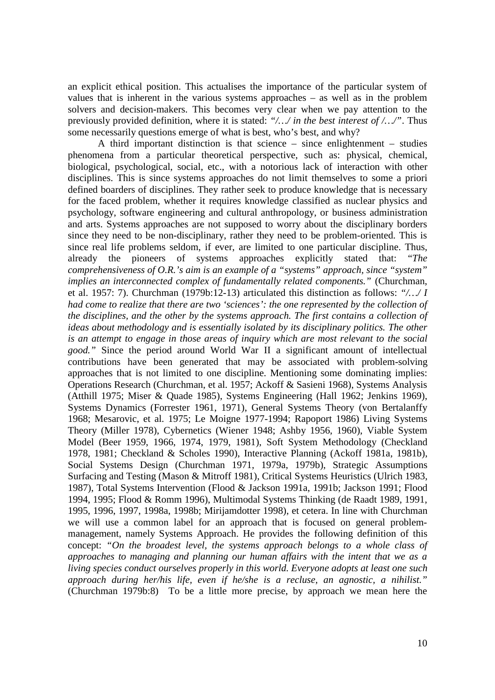an explicit ethical position. This actualises the importance of the particular system of values that is inherent in the various systems approaches – as well as in the problem solvers and decision-makers. This becomes very clear when we pay attention to the previously provided definition, where it is stated: *"/…/ in the best interest of /…/"*. Thus some necessarily questions emerge of what is best, who's best, and why?

A third important distinction is that science – since enlightenment – studies phenomena from a particular theoretical perspective, such as: physical, chemical, biological, psychological, social, etc., with a notorious lack of interaction with other disciplines. This is since systems approaches do not limit themselves to some a priori defined boarders of disciplines. They rather seek to produce knowledge that is necessary for the faced problem, whether it requires knowledge classified as nuclear physics and psychology, software engineering and cultural anthropology, or business administration and arts. Systems approaches are not supposed to worry about the disciplinary borders since they need to be non-disciplinary, rather they need to be problem-oriented. This is since real life problems seldom, if ever, are limited to one particular discipline. Thus, already the pioneers of systems approaches explicitly stated that: "*The comprehensiveness of O.R.'s aim is an example of a "systems" approach, since "system" implies an interconnected complex of fundamentally related components."* (Churchman, et al. 1957: 7). Churchman (1979b:12-13) articulated this distinction as follows: *"/…/ I had come to realize that there are two 'sciences': the one represented by the collection of the disciplines, and the other by the systems approach. The first contains a collection of ideas about methodology and is essentially isolated by its disciplinary politics. The other is an attempt to engage in those areas of inquiry which are most relevant to the social good."* Since the period around World War II a significant amount of intellectual contributions have been generated that may be associated with problem-solving approaches that is not limited to one discipline. Mentioning some dominating implies: Operations Research (Churchman, et al. 1957; Ackoff & Sasieni 1968), Systems Analysis (Atthill 1975; Miser & Quade 1985), Systems Engineering (Hall 1962; Jenkins 1969), Systems Dynamics (Forrester 1961, 1971), General Systems Theory (von Bertalanffy 1968; Mesarovic, et al. 1975; Le Moigne 1977-1994; Rapoport 1986) Living Systems Theory (Miller 1978), Cybernetics (Wiener 1948; Ashby 1956, 1960), Viable System Model (Beer 1959, 1966, 1974, 1979, 1981), Soft System Methodology (Checkland 1978, 1981; Checkland & Scholes 1990), Interactive Planning (Ackoff 1981a, 1981b), Social Systems Design (Churchman 1971, 1979a, 1979b), Strategic Assumptions Surfacing and Testing (Mason & Mitroff 1981), Critical Systems Heuristics (Ulrich 1983, 1987), Total Systems Intervention (Flood & Jackson 1991a, 1991b; Jackson 1991; Flood 1994, 1995; Flood & Romm 1996), Multimodal Systems Thinking (de Raadt 1989, 1991, 1995, 1996, 1997, 1998a, 1998b; Mirijamdotter 1998), et cetera. In line with Churchman we will use a common label for an approach that is focused on general problemmanagement, namely Systems Approach. He provides the following definition of this concept: *"On the broadest level, the systems approach belongs to a whole class of approaches to managing and planning our human affairs with the intent that we as a living species conduct ourselves properly in this world. Everyone adopts at least one such approach during her/his life, even if he/she is a recluse, an agnostic, a nihilist."* (Churchman 1979b:8) To be a little more precise, by approach we mean here the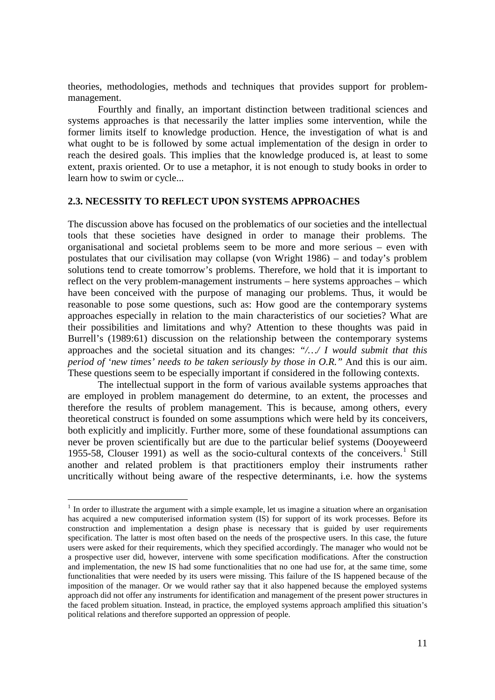theories, methodologies, methods and techniques that provides support for problemmanagement.

Fourthly and finally, an important distinction between traditional sciences and systems approaches is that necessarily the latter implies some intervention, while the former limits itself to knowledge production. Hence, the investigation of what is and what ought to be is followed by some actual implementation of the design in order to reach the desired goals. This implies that the knowledge produced is, at least to some extent, praxis oriented. Or to use a metaphor, it is not enough to study books in order to learn how to swim or cycle...

#### **2.3. NECESSITY TO REFLECT UPON SYSTEMS APPROACHES**

The discussion above has focused on the problematics of our societies and the intellectual tools that these societies have designed in order to manage their problems. The organisational and societal problems seem to be more and more serious – even with postulates that our civilisation may collapse (von Wright 1986) – and today's problem solutions tend to create tomorrow's problems. Therefore, we hold that it is important to reflect on the very problem-management instruments – here systems approaches – which have been conceived with the purpose of managing our problems. Thus, it would be reasonable to pose some questions, such as: How good are the contemporary systems approaches especially in relation to the main characteristics of our societies? What are their possibilities and limitations and why? Attention to these thoughts was paid in Burrell's (1989:61) discussion on the relationship between the contemporary systems approaches and the societal situation and its changes: *"/…/ I would submit that this period of 'new times' needs to be taken seriously by those in O.R."* And this is our aim. These questions seem to be especially important if considered in the following contexts.

The intellectual support in the form of various available systems approaches that are employed in problem management do determine, to an extent, the processes and therefore the results of problem management. This is because, among others, every theoretical construct is founded on some assumptions which were held by its conceivers, both explicitly and implicitly. Further more, some of these foundational assumptions can never be proven scientifically but are due to the particular belief systems (Dooyeweerd 1955-58, Clouser 1991) as well as the socio-cultural contexts of the conceivers.<sup>1</sup> Still another and related problem is that practitioners employ their instruments rather uncritically without being aware of the respective determinants, i.e. how the systems

-

<sup>&</sup>lt;sup>1</sup> In order to illustrate the argument with a simple example, let us imagine a situation where an organisation has acquired a new computerised information system (IS) for support of its work processes. Before its construction and implementation a design phase is necessary that is guided by user requirements specification. The latter is most often based on the needs of the prospective users. In this case, the future users were asked for their requirements, which they specified accordingly. The manager who would not be a prospective user did, however, intervene with some specification modifications. After the construction and implementation, the new IS had some functionalities that no one had use for, at the same time, some functionalities that were needed by its users were missing. This failure of the IS happened because of the imposition of the manager. Or we would rather say that it also happened because the employed systems approach did not offer any instruments for identification and management of the present power structures in the faced problem situation. Instead, in practice, the employed systems approach amplified this situation's political relations and therefore supported an oppression of people.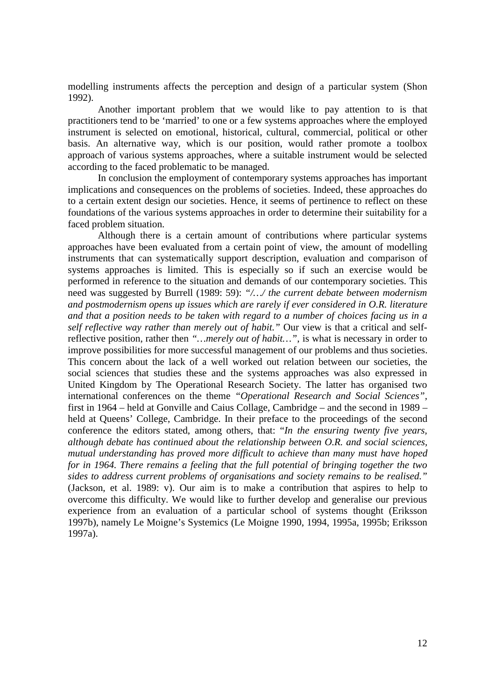modelling instruments affects the perception and design of a particular system (Shon 1992).

Another important problem that we would like to pay attention to is that practitioners tend to be 'married' to one or a few systems approaches where the employed instrument is selected on emotional, historical, cultural, commercial, political or other basis. An alternative way, which is our position, would rather promote a toolbox approach of various systems approaches, where a suitable instrument would be selected according to the faced problematic to be managed.

In conclusion the employment of contemporary systems approaches has important implications and consequences on the problems of societies. Indeed, these approaches do to a certain extent design our societies. Hence, it seems of pertinence to reflect on these foundations of the various systems approaches in order to determine their suitability for a faced problem situation.

Although there is a certain amount of contributions where particular systems approaches have been evaluated from a certain point of view, the amount of modelling instruments that can systematically support description, evaluation and comparison of systems approaches is limited. This is especially so if such an exercise would be performed in reference to the situation and demands of our contemporary societies. This need was suggested by Burrell (1989: 59): *"/…/ the current debate between modernism and postmodernism opens up issues which are rarely if ever considered in O.R. literature and that a position needs to be taken with regard to a number of choices facing us in a self reflective way rather than merely out of habit."* Our view is that a critical and selfreflective position, rather then *"…merely out of habit…"*, is what is necessary in order to improve possibilities for more successful management of our problems and thus societies. This concern about the lack of a well worked out relation between our societies, the social sciences that studies these and the systems approaches was also expressed in United Kingdom by The Operational Research Society. The latter has organised two international conferences on the theme *"Operational Research and Social Sciences",* first in 1964 – held at Gonville and Caius Collage, Cambridge – and the second in 1989 – held at Queens' College, Cambridge. In their preface to the proceedings of the second conference the editors stated, among others, that: "*In the ensuring twenty five years, although debate has continued about the relationship between O.R. and social sciences, mutual understanding has proved more difficult to achieve than many must have hoped for in 1964. There remains a feeling that the full potential of bringing together the two sides to address current problems of organisations and society remains to be realised."* (Jackson, et al. 1989: v). Our aim is to make a contribution that aspires to help to overcome this difficulty. We would like to further develop and generalise our previous experience from an evaluation of a particular school of systems thought (Eriksson 1997b), namely Le Moigne's Systemics (Le Moigne 1990, 1994, 1995a, 1995b; Eriksson 1997a).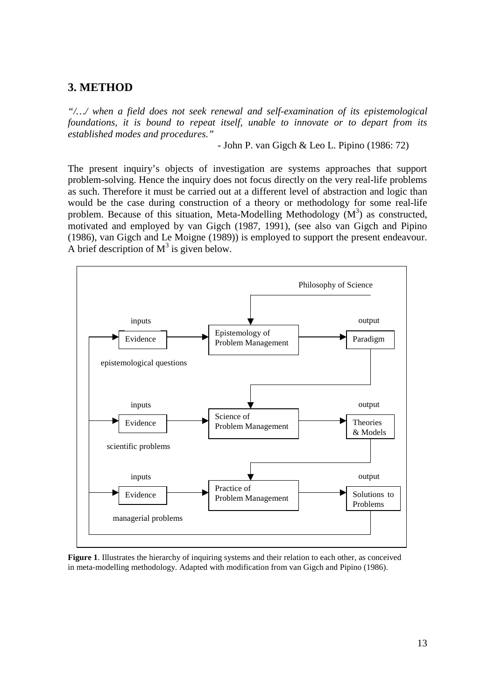# **3. METHOD**

*"/…/ when a field does not seek renewal and self-examination of its epistemological foundations, it is bound to repeat itself, unable to innovate or to depart from its established modes and procedures."*

- John P. van Gigch & Leo L. Pipino (1986: 72)

The present inquiry's objects of investigation are systems approaches that support problem-solving. Hence the inquiry does not focus directly on the very real-life problems as such. Therefore it must be carried out at a different level of abstraction and logic than would be the case during construction of a theory or methodology for some real-life problem. Because of this situation, Meta-Modelling Methodology  $(M^3)$  as constructed, motivated and employed by van Gigch (1987, 1991), (see also van Gigch and Pipino (1986), van Gigch and Le Moigne (1989)) is employed to support the present endeavour. A brief description of  $M^3$  is given below.



**Figure 1**. Illustrates the hierarchy of inquiring systems and their relation to each other, as conceived in meta-modelling methodology. Adapted with modification from van Gigch and Pipino (1986).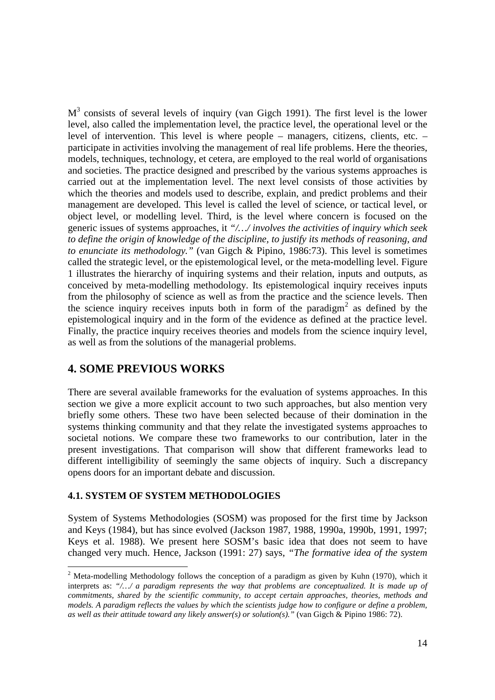$M<sup>3</sup>$  consists of several levels of inquiry (van Gigch 1991). The first level is the lower level, also called the implementation level, the practice level, the operational level or the level of intervention. This level is where people – managers, citizens, clients, etc. – participate in activities involving the management of real life problems. Here the theories, models, techniques, technology, et cetera, are employed to the real world of organisations and societies. The practice designed and prescribed by the various systems approaches is carried out at the implementation level. The next level consists of those activities by which the theories and models used to describe, explain, and predict problems and their management are developed. This level is called the level of science, or tactical level, or object level, or modelling level. Third, is the level where concern is focused on the generic issues of systems approaches, it *"/…/ involves the activities of inquiry which seek to define the origin of knowledge of the discipline, to justify its methods of reasoning, and to enunciate its methodology."* (van Gigch & Pipino, 1986:73). This level is sometimes called the strategic level, or the epistemological level, or the meta-modelling level. Figure 1 illustrates the hierarchy of inquiring systems and their relation, inputs and outputs, as conceived by meta-modelling methodology. Its epistemological inquiry receives inputs from the philosophy of science as well as from the practice and the science levels. Then the science inquiry receives inputs both in form of the paradigm<sup>2</sup> as defined by the epistemological inquiry and in the form of the evidence as defined at the practice level. Finally, the practice inquiry receives theories and models from the science inquiry level, as well as from the solutions of the managerial problems.

# **4. SOME PREVIOUS WORKS**

<u>.</u>

There are several available frameworks for the evaluation of systems approaches. In this section we give a more explicit account to two such approaches, but also mention very briefly some others. These two have been selected because of their domination in the systems thinking community and that they relate the investigated systems approaches to societal notions. We compare these two frameworks to our contribution, later in the present investigations. That comparison will show that different frameworks lead to different intelligibility of seemingly the same objects of inquiry. Such a discrepancy opens doors for an important debate and discussion.

# **4.1. SYSTEM OF SYSTEM METHODOLOGIES**

System of Systems Methodologies (SOSM) was proposed for the first time by Jackson and Keys (1984), but has since evolved (Jackson 1987, 1988, 1990a, 1990b, 1991, 1997; Keys et al. 1988). We present here SOSM's basic idea that does not seem to have changed very much. Hence, Jackson (1991: 27) says, *"The formative idea of the system*

<sup>&</sup>lt;sup>2</sup> Meta-modelling Methodology follows the conception of a paradigm as given by Kuhn (1970), which it interprets as: *"/…/ a paradigm represents the way that problems are conceptualized. It is made up of commitments, shared by the scientific community, to accept certain approaches, theories, methods and models. A paradigm reflects the values by which the scientists judge how to configure or define a problem, as well as their attitude toward any likely answer(s) or solution(s)."* (van Gigch & Pipino 1986: 72).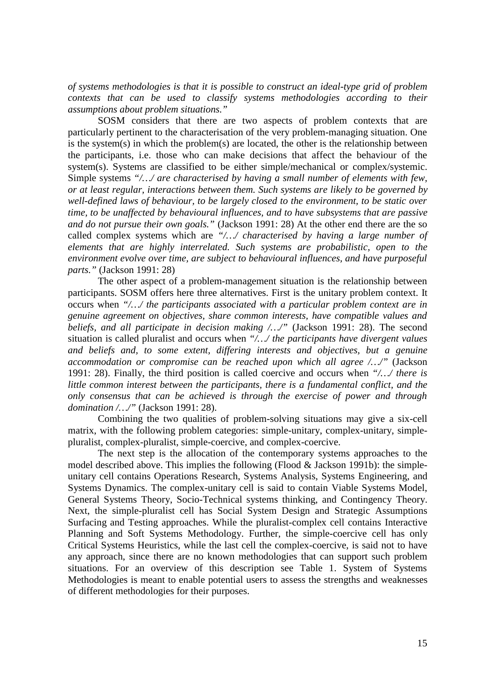*of systems methodologies is that it is possible to construct an ideal-type grid of problem contexts that can be used to classify systems methodologies according to their assumptions about problem situations."*

SOSM considers that there are two aspects of problem contexts that are particularly pertinent to the characterisation of the very problem-managing situation. One is the system(s) in which the problem(s) are located, the other is the relationship between the participants, i.e. those who can make decisions that affect the behaviour of the system(s). Systems are classified to be either simple/mechanical or complex/systemic. Simple systems *"/…/ are characterised by having a small number of elements with few, or at least regular, interactions between them. Such systems are likely to be governed by well-defined laws of behaviour, to be largely closed to the environment, to be static over time, to be unaffected by behavioural influences, and to have subsystems that are passive and do not pursue their own goals."* (Jackson 1991: 28) At the other end there are the so called complex systems which are *"/…/ characterised by having a large number of elements that are highly interrelated. Such systems are probabilistic, open to the environment evolve over time, are subject to behavioural influences, and have purposeful parts."* (Jackson 1991: 28)

The other aspect of a problem-management situation is the relationship between participants. SOSM offers here three alternatives. First is the unitary problem context. It occurs when *"/…/ the participants associated with a particular problem context are in genuine agreement on objectives, share common interests, have compatible values and beliefs, and all participate in decision making /…/"* (Jackson 1991: 28). The second situation is called pluralist and occurs when *"/…/ the participants have divergent values and beliefs and, to some extent, differing interests and objectives, but a genuine accommodation or compromise can be reached upon which all agree /…/"* (Jackson 1991: 28). Finally, the third position is called coercive and occurs when *"/…/ there is little common interest between the participants, there is a fundamental conflict, and the only consensus that can be achieved is through the exercise of power and through domination /…/"* (Jackson 1991: 28).

Combining the two qualities of problem-solving situations may give a six-cell matrix, with the following problem categories: simple-unitary, complex-unitary, simplepluralist, complex-pluralist, simple-coercive, and complex-coercive.

The next step is the allocation of the contemporary systems approaches to the model described above. This implies the following (Flood  $&$  Jackson 1991b): the simpleunitary cell contains Operations Research, Systems Analysis, Systems Engineering, and Systems Dynamics. The complex-unitary cell is said to contain Viable Systems Model, General Systems Theory, Socio-Technical systems thinking, and Contingency Theory. Next, the simple-pluralist cell has Social System Design and Strategic Assumptions Surfacing and Testing approaches. While the pluralist-complex cell contains Interactive Planning and Soft Systems Methodology. Further, the simple-coercive cell has only Critical Systems Heuristics, while the last cell the complex-coercive, is said not to have any approach, since there are no known methodologies that can support such problem situations. For an overview of this description see Table 1. System of Systems Methodologies is meant to enable potential users to assess the strengths and weaknesses of different methodologies for their purposes.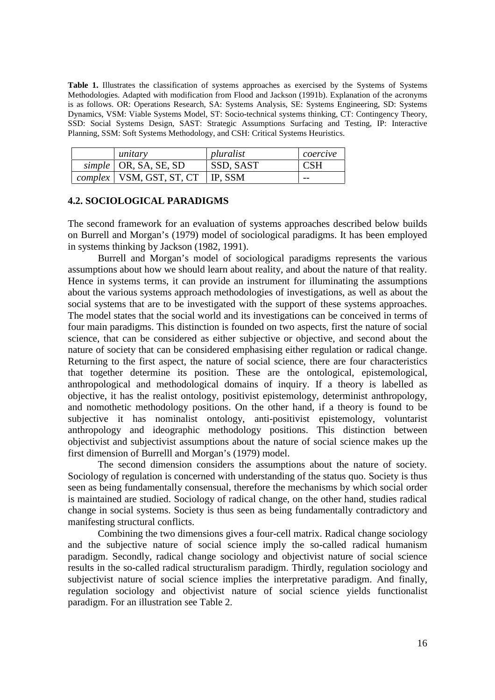**Table 1.** Illustrates the classification of systems approaches as exercised by the Systems of Systems Methodologies. Adapted with modification from Flood and Jackson (1991b). Explanation of the acronyms is as follows. OR: Operations Research, SA: Systems Analysis, SE: Systems Engineering, SD: Systems Dynamics, VSM: Viable Systems Model, ST: Socio-technical systems thinking, CT: Contingency Theory, SSD: Social Systems Design, SAST: Strategic Assumptions Surfacing and Testing, IP: Interactive Planning, SSM: Soft Systems Methodology, and CSH: Critical Systems Heuristics.

| unitary                                     | pluralist        | coercive   |
|---------------------------------------------|------------------|------------|
| $simple$   OR, SA, SE, SD                   | <b>SSD, SAST</b> | <b>CSH</b> |
| <i>complex</i>   VSM, GST, ST, CT   IP, SSM |                  | $- -$      |

# **4.2. SOCIOLOGICAL PARADIGMS**

The second framework for an evaluation of systems approaches described below builds on Burrell and Morgan's (1979) model of sociological paradigms. It has been employed in systems thinking by Jackson (1982, 1991).

Burrell and Morgan's model of sociological paradigms represents the various assumptions about how we should learn about reality, and about the nature of that reality. Hence in systems terms, it can provide an instrument for illuminating the assumptions about the various systems approach methodologies of investigations, as well as about the social systems that are to be investigated with the support of these systems approaches. The model states that the social world and its investigations can be conceived in terms of four main paradigms. This distinction is founded on two aspects, first the nature of social science, that can be considered as either subjective or objective, and second about the nature of society that can be considered emphasising either regulation or radical change. Returning to the first aspect, the nature of social science, there are four characteristics that together determine its position. These are the ontological, epistemological, anthropological and methodological domains of inquiry. If a theory is labelled as objective, it has the realist ontology, positivist epistemology, determinist anthropology, and nomothetic methodology positions. On the other hand, if a theory is found to be subjective it has nominalist ontology, anti-positivist epistemology, voluntarist anthropology and ideographic methodology positions. This distinction between objectivist and subjectivist assumptions about the nature of social science makes up the first dimension of Burrelll and Morgan's (1979) model.

The second dimension considers the assumptions about the nature of society. Sociology of regulation is concerned with understanding of the status quo. Society is thus seen as being fundamentally consensual, therefore the mechanisms by which social order is maintained are studied. Sociology of radical change, on the other hand, studies radical change in social systems. Society is thus seen as being fundamentally contradictory and manifesting structural conflicts.

Combining the two dimensions gives a four-cell matrix. Radical change sociology and the subjective nature of social science imply the so-called radical humanism paradigm. Secondly, radical change sociology and objectivist nature of social science results in the so-called radical structuralism paradigm. Thirdly, regulation sociology and subjectivist nature of social science implies the interpretative paradigm. And finally, regulation sociology and objectivist nature of social science yields functionalist paradigm. For an illustration see Table 2.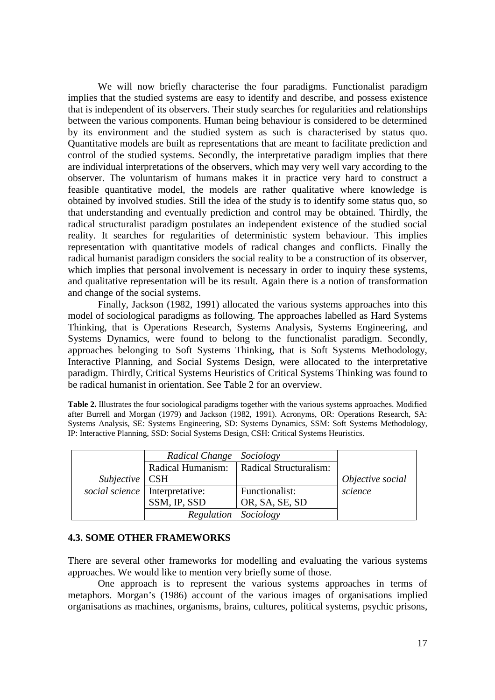We will now briefly characterise the four paradigms. Functionalist paradigm implies that the studied systems are easy to identify and describe, and possess existence that is independent of its observers. Their study searches for regularities and relationships between the various components. Human being behaviour is considered to be determined by its environment and the studied system as such is characterised by status quo. Quantitative models are built as representations that are meant to facilitate prediction and control of the studied systems. Secondly, the interpretative paradigm implies that there are individual interpretations of the observers, which may very well vary according to the observer. The voluntarism of humans makes it in practice very hard to construct a feasible quantitative model, the models are rather qualitative where knowledge is obtained by involved studies. Still the idea of the study is to identify some status quo, so that understanding and eventually prediction and control may be obtained. Thirdly, the radical structuralist paradigm postulates an independent existence of the studied social reality. It searches for regularities of deterministic system behaviour. This implies representation with quantitative models of radical changes and conflicts. Finally the radical humanist paradigm considers the social reality to be a construction of its observer, which implies that personal involvement is necessary in order to inquiry these systems, and qualitative representation will be its result. Again there is a notion of transformation and change of the social systems.

Finally, Jackson (1982, 1991) allocated the various systems approaches into this model of sociological paradigms as following. The approaches labelled as Hard Systems Thinking, that is Operations Research, Systems Analysis, Systems Engineering, and Systems Dynamics, were found to belong to the functionalist paradigm. Secondly, approaches belonging to Soft Systems Thinking, that is Soft Systems Methodology, Interactive Planning, and Social Systems Design, were allocated to the interpretative paradigm. Thirdly, Critical Systems Heuristics of Critical Systems Thinking was found to be radical humanist in orientation. See Table 2 for an overview.

**Table 2.** Illustrates the four sociological paradigms together with the various systems approaches. Modified after Burrell and Morgan (1979) and Jackson (1982, 1991). Acronyms, OR: Operations Research, SA: Systems Analysis, SE: Systems Engineering, SD: Systems Dynamics, SSM: Soft Systems Methodology, IP: Interactive Planning, SSD: Social Systems Design, CSH: Critical Systems Heuristics.

|                  | Radical Change                   | Sociology              |                  |
|------------------|----------------------------------|------------------------|------------------|
|                  | Radical Humanism:                | Radical Structuralism: |                  |
| $Subjective$ CSH |                                  |                        | Objective social |
|                  | social science   Interpretative: | Functionalist:         | science          |
|                  | SSM, IP, SSD                     | OR, SA, SE, SD         |                  |
|                  | Regulation Sociology             |                        |                  |

# **4.3. SOME OTHER FRAMEWORKS**

There are several other frameworks for modelling and evaluating the various systems approaches. We would like to mention very briefly some of those.

One approach is to represent the various systems approaches in terms of metaphors. Morgan's (1986) account of the various images of organisations implied organisations as machines, organisms, brains, cultures, political systems, psychic prisons,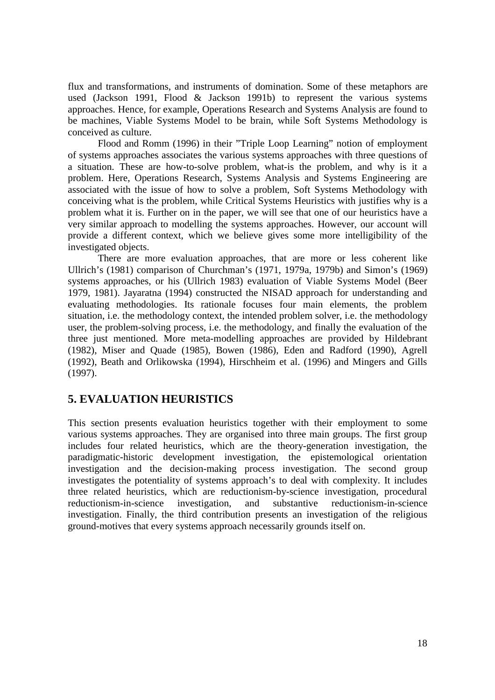flux and transformations, and instruments of domination. Some of these metaphors are used (Jackson 1991, Flood & Jackson 1991b) to represent the various systems approaches. Hence, for example, Operations Research and Systems Analysis are found to be machines, Viable Systems Model to be brain, while Soft Systems Methodology is conceived as culture.

Flood and Romm (1996) in their "Triple Loop Learning" notion of employment of systems approaches associates the various systems approaches with three questions of a situation. These are how-to-solve problem, what-is the problem, and why is it a problem. Here, Operations Research, Systems Analysis and Systems Engineering are associated with the issue of how to solve a problem, Soft Systems Methodology with conceiving what is the problem, while Critical Systems Heuristics with justifies why is a problem what it is. Further on in the paper, we will see that one of our heuristics have a very similar approach to modelling the systems approaches. However, our account will provide a different context, which we believe gives some more intelligibility of the investigated objects.

There are more evaluation approaches, that are more or less coherent like Ullrich's (1981) comparison of Churchman's (1971, 1979a, 1979b) and Simon's (1969) systems approaches, or his (Ullrich 1983) evaluation of Viable Systems Model (Beer 1979, 1981). Jayaratna (1994) constructed the NISAD approach for understanding and evaluating methodologies. Its rationale focuses four main elements, the problem situation, i.e. the methodology context, the intended problem solver, i.e. the methodology user, the problem-solving process, i.e. the methodology, and finally the evaluation of the three just mentioned. More meta-modelling approaches are provided by Hildebrant (1982), Miser and Quade (1985), Bowen (1986), Eden and Radford (1990), Agrell (1992), Beath and Orlikowska (1994), Hirschheim et al. (1996) and Mingers and Gills (1997).

# **5. EVALUATION HEURISTICS**

This section presents evaluation heuristics together with their employment to some various systems approaches. They are organised into three main groups. The first group includes four related heuristics, which are the theory-generation investigation, the paradigmatic-historic development investigation, the epistemological orientation investigation and the decision-making process investigation. The second group investigates the potentiality of systems approach's to deal with complexity. It includes three related heuristics, which are reductionism-by-science investigation, procedural reductionism-in-science investigation, and substantive reductionism-in-science investigation. Finally, the third contribution presents an investigation of the religious ground-motives that every systems approach necessarily grounds itself on.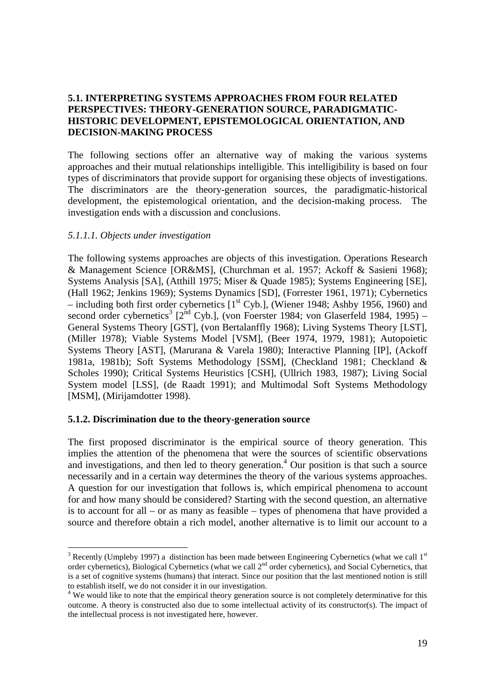# **5.1. INTERPRETING SYSTEMS APPROACHES FROM FOUR RELATED PERSPECTIVES: THEORY-GENERATION SOURCE, PARADIGMATIC-HISTORIC DEVELOPMENT, EPISTEMOLOGICAL ORIENTATION, AND DECISION-MAKING PROCESS**

The following sections offer an alternative way of making the various systems approaches and their mutual relationships intelligible. This intelligibility is based on four types of discriminators that provide support for organising these objects of investigations. The discriminators are the theory-generation sources, the paradigmatic-historical development, the epistemological orientation, and the decision-making process. The investigation ends with a discussion and conclusions.

## *5.1.1.1. Objects under investigation*

The following systems approaches are objects of this investigation. Operations Research & Management Science [OR&MS], (Churchman et al. 1957; Ackoff & Sasieni 1968); Systems Analysis [SA], (Atthill 1975; Miser & Quade 1985); Systems Engineering [SE], (Hall 1962; Jenkins 1969); Systems Dynamics [SD], (Forrester 1961, 1971); Cybernetics – including both first order cybernetics  $[1<sup>st</sup> Cyb.]$ , (Wiener 1948; Ashby 1956, 1960) and second order cybernetics<sup>3</sup> [2<sup>nd</sup> Cyb.], (von Foerster 1984; von Glaserfeld 1984, 1995) – General Systems Theory [GST], (von Bertalanffly 1968); Living Systems Theory [LST], (Miller 1978); Viable Systems Model [VSM], (Beer 1974, 1979, 1981); Autopoietic Systems Theory [AST], (Marurana & Varela 1980); Interactive Planning [IP], (Ackoff 1981a, 1981b); Soft Systems Methodology [SSM], (Checkland 1981; Checkland & Scholes 1990); Critical Systems Heuristics [CSH], (Ullrich 1983, 1987); Living Social System model [LSS], (de Raadt 1991); and Multimodal Soft Systems Methodology [MSM], (Mirijamdotter 1998).

# **5.1.2. Discrimination due to the theory-generation source**

The first proposed discriminator is the empirical source of theory generation. This implies the attention of the phenomena that were the sources of scientific observations and investigations, and then led to theory generation.<sup>4</sup> Our position is that such a source necessarily and in a certain way determines the theory of the various systems approaches. A question for our investigation that follows is, which empirical phenomena to account for and how many should be considered? Starting with the second question, an alternative is to account for all – or as many as feasible – types of phenomena that have provided a source and therefore obtain a rich model, another alternative is to limit our account to a

<sup>&</sup>lt;sup>3</sup> Recently (Umpleby 1997) a distinction has been made between Engineering Cybernetics (what we call 1<sup>st</sup> order cybernetics), Biological Cybernetics (what we call 2nd order cybernetics), and Social Cybernetics, that is a set of cognitive systems (humans) that interact. Since our position that the last mentioned notion is still to establish itself, we do not consider it in our investigation.

<sup>&</sup>lt;sup>4</sup> We would like to note that the empirical theory generation source is not completely determinative for this outcome. A theory is constructed also due to some intellectual activity of its constructor(s). The impact of the intellectual process is not investigated here, however.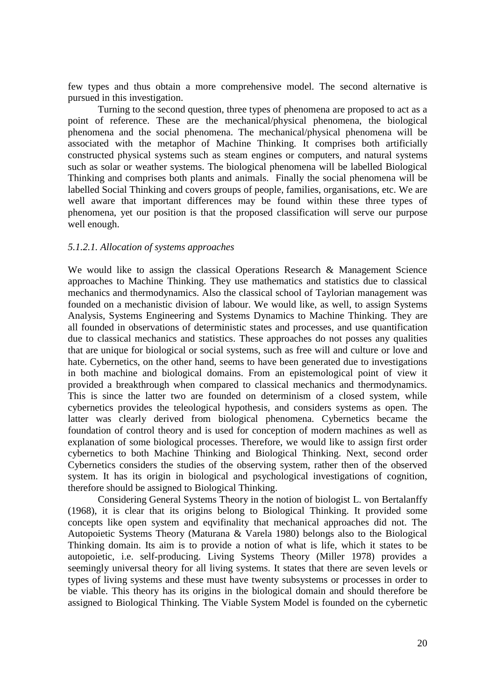few types and thus obtain a more comprehensive model. The second alternative is pursued in this investigation.

Turning to the second question, three types of phenomena are proposed to act as a point of reference. These are the mechanical/physical phenomena, the biological phenomena and the social phenomena. The mechanical/physical phenomena will be associated with the metaphor of Machine Thinking. It comprises both artificially constructed physical systems such as steam engines or computers, and natural systems such as solar or weather systems. The biological phenomena will be labelled Biological Thinking and comprises both plants and animals. Finally the social phenomena will be labelled Social Thinking and covers groups of people, families, organisations, etc. We are well aware that important differences may be found within these three types of phenomena, yet our position is that the proposed classification will serve our purpose well enough.

## *5.1.2.1. Allocation of systems approaches*

We would like to assign the classical Operations Research & Management Science approaches to Machine Thinking. They use mathematics and statistics due to classical mechanics and thermodynamics. Also the classical school of Taylorian management was founded on a mechanistic division of labour. We would like, as well, to assign Systems Analysis, Systems Engineering and Systems Dynamics to Machine Thinking. They are all founded in observations of deterministic states and processes, and use quantification due to classical mechanics and statistics. These approaches do not posses any qualities that are unique for biological or social systems, such as free will and culture or love and hate. Cybernetics, on the other hand, seems to have been generated due to investigations in both machine and biological domains. From an epistemological point of view it provided a breakthrough when compared to classical mechanics and thermodynamics. This is since the latter two are founded on determinism of a closed system, while cybernetics provides the teleological hypothesis, and considers systems as open. The latter was clearly derived from biological phenomena. Cybernetics became the foundation of control theory and is used for conception of modern machines as well as explanation of some biological processes. Therefore, we would like to assign first order cybernetics to both Machine Thinking and Biological Thinking. Next, second order Cybernetics considers the studies of the observing system, rather then of the observed system. It has its origin in biological and psychological investigations of cognition, therefore should be assigned to Biological Thinking.

Considering General Systems Theory in the notion of biologist L. von Bertalanffy (1968), it is clear that its origins belong to Biological Thinking. It provided some concepts like open system and eqvifinality that mechanical approaches did not. The Autopoietic Systems Theory (Maturana & Varela 1980) belongs also to the Biological Thinking domain. Its aim is to provide a notion of what is life, which it states to be autopoietic, i.e. self-producing. Living Systems Theory (Miller 1978) provides a seemingly universal theory for all living systems. It states that there are seven levels or types of living systems and these must have twenty subsystems or processes in order to be viable. This theory has its origins in the biological domain and should therefore be assigned to Biological Thinking. The Viable System Model is founded on the cybernetic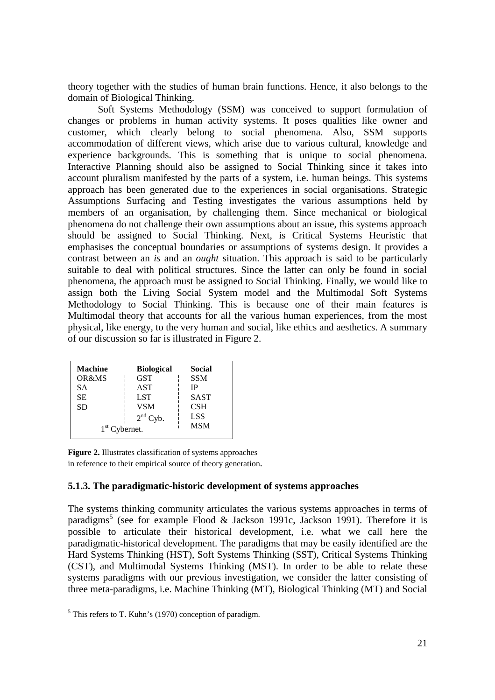theory together with the studies of human brain functions. Hence, it also belongs to the domain of Biological Thinking.

Soft Systems Methodology (SSM) was conceived to support formulation of changes or problems in human activity systems. It poses qualities like owner and customer, which clearly belong to social phenomena. Also, SSM supports accommodation of different views, which arise due to various cultural, knowledge and experience backgrounds. This is something that is unique to social phenomena. Interactive Planning should also be assigned to Social Thinking since it takes into account pluralism manifested by the parts of a system, i.e. human beings. This systems approach has been generated due to the experiences in social organisations. Strategic Assumptions Surfacing and Testing investigates the various assumptions held by members of an organisation, by challenging them. Since mechanical or biological phenomena do not challenge their own assumptions about an issue, this systems approach should be assigned to Social Thinking. Next, is Critical Systems Heuristic that emphasises the conceptual boundaries or assumptions of systems design. It provides a contrast between an *is* and an *ought* situation. This approach is said to be particularly suitable to deal with political structures. Since the latter can only be found in social phenomena, the approach must be assigned to Social Thinking. Finally, we would like to assign both the Living Social System model and the Multimodal Soft Systems Methodology to Social Thinking. This is because one of their main features is Multimodal theory that accounts for all the various human experiences, from the most physical, like energy, to the very human and social, like ethics and aesthetics. A summary of our discussion so far is illustrated in Figure 2.

| <b>Machine</b>  | <b>Biological</b> | Social      |
|-----------------|-------------------|-------------|
| OR&MS           | <b>GST</b>        | <b>SSM</b>  |
| <b>SA</b>       | <b>AST</b>        | ΙP          |
| <b>SE</b>       | <b>LST</b>        | <b>SAST</b> |
| <b>SD</b>       | <b>VSM</b>        | CSH         |
|                 | $2nd$ Cyb.        | <b>LSS</b>  |
| $1st$ Cybernet. | <b>MSM</b>        |             |

**Figure 2.** Illustrates classification of systems approaches in reference to their empirical source of theory generation.

# **5.1.3. The paradigmatic-historic development of systems approaches**

The systems thinking community articulates the various systems approaches in terms of paradigms<sup>5</sup> (see for example Flood & Jackson 1991c, Jackson 1991). Therefore it is possible to articulate their historical development, i.e. what we call here the paradigmatic-historical development. The paradigms that may be easily identified are the Hard Systems Thinking (HST), Soft Systems Thinking (SST), Critical Systems Thinking (CST), and Multimodal Systems Thinking (MST). In order to be able to relate these systems paradigms with our previous investigation, we consider the latter consisting of three meta-paradigms, i.e. Machine Thinking (MT), Biological Thinking (MT) and Social

<sup>&</sup>lt;sup>5</sup> This refers to T. Kuhn's (1970) conception of paradigm.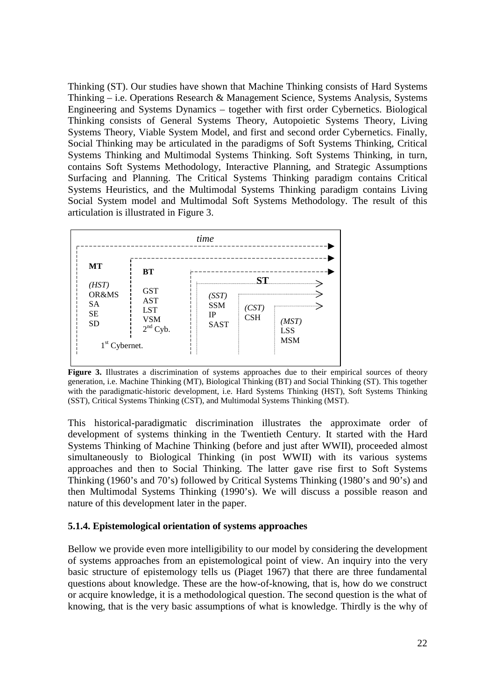Thinking (ST). Our studies have shown that Machine Thinking consists of Hard Systems Thinking – i.e. Operations Research & Management Science, Systems Analysis, Systems Engineering and Systems Dynamics – together with first order Cybernetics. Biological Thinking consists of General Systems Theory, Autopoietic Systems Theory, Living Systems Theory, Viable System Model, and first and second order Cybernetics. Finally, Social Thinking may be articulated in the paradigms of Soft Systems Thinking, Critical Systems Thinking and Multimodal Systems Thinking. Soft Systems Thinking, in turn, contains Soft Systems Methodology, Interactive Planning, and Strategic Assumptions Surfacing and Planning. The Critical Systems Thinking paradigm contains Critical Systems Heuristics, and the Multimodal Systems Thinking paradigm contains Living Social System model and Multimodal Soft Systems Methodology. The result of this articulation is illustrated in Figure 3.



Figure 3. Illustrates a discrimination of systems approaches due to their empirical sources of theory generation, i.e. Machine Thinking (MT), Biological Thinking (BT) and Social Thinking (ST). This together with the paradigmatic-historic development, i.e. Hard Systems Thinking (HST), Soft Systems Thinking (SST), Critical Systems Thinking (CST), and Multimodal Systems Thinking (MST).

This historical-paradigmatic discrimination illustrates the approximate order of development of systems thinking in the Twentieth Century. It started with the Hard Systems Thinking of Machine Thinking (before and just after WWII), proceeded almost simultaneously to Biological Thinking (in post WWII) with its various systems approaches and then to Social Thinking. The latter gave rise first to Soft Systems Thinking (1960's and 70's) followed by Critical Systems Thinking (1980's and 90's) and then Multimodal Systems Thinking (1990's). We will discuss a possible reason and nature of this development later in the paper.

# **5.1.4. Epistemological orientation of systems approaches**

Bellow we provide even more intelligibility to our model by considering the development of systems approaches from an epistemological point of view. An inquiry into the very basic structure of epistemology tells us (Piaget 1967) that there are three fundamental questions about knowledge. These are the how-of-knowing, that is, how do we construct or acquire knowledge, it is a methodological question. The second question is the what of knowing, that is the very basic assumptions of what is knowledge. Thirdly is the why of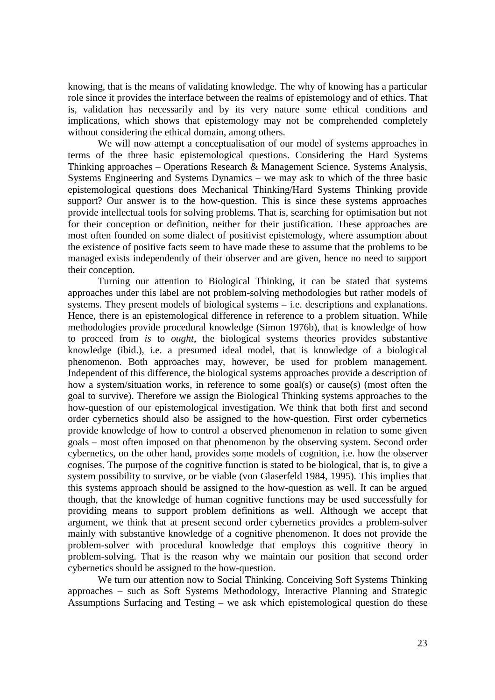knowing, that is the means of validating knowledge. The why of knowing has a particular role since it provides the interface between the realms of epistemology and of ethics. That is, validation has necessarily and by its very nature some ethical conditions and implications, which shows that epistemology may not be comprehended completely without considering the ethical domain, among others.

We will now attempt a conceptualisation of our model of systems approaches in terms of the three basic epistemological questions. Considering the Hard Systems Thinking approaches – Operations Research & Management Science, Systems Analysis, Systems Engineering and Systems Dynamics – we may ask to which of the three basic epistemological questions does Mechanical Thinking/Hard Systems Thinking provide support? Our answer is to the how-question. This is since these systems approaches provide intellectual tools for solving problems. That is, searching for optimisation but not for their conception or definition, neither for their justification. These approaches are most often founded on some dialect of positivist epistemology, where assumption about the existence of positive facts seem to have made these to assume that the problems to be managed exists independently of their observer and are given, hence no need to support their conception.

Turning our attention to Biological Thinking, it can be stated that systems approaches under this label are not problem-solving methodologies but rather models of systems. They present models of biological systems – i.e. descriptions and explanations. Hence, there is an epistemological difference in reference to a problem situation. While methodologies provide procedural knowledge (Simon 1976b), that is knowledge of how to proceed from *is* to *ought*, the biological systems theories provides substantive knowledge (ibid.), i.e. a presumed ideal model, that is knowledge of a biological phenomenon. Both approaches may, however, be used for problem management. Independent of this difference, the biological systems approaches provide a description of how a system/situation works, in reference to some goal(s) or cause(s) (most often the goal to survive). Therefore we assign the Biological Thinking systems approaches to the how-question of our epistemological investigation. We think that both first and second order cybernetics should also be assigned to the how-question. First order cybernetics provide knowledge of how to control a observed phenomenon in relation to some given goals – most often imposed on that phenomenon by the observing system. Second order cybernetics, on the other hand, provides some models of cognition, i.e. how the observer cognises. The purpose of the cognitive function is stated to be biological, that is, to give a system possibility to survive, or be viable (von Glaserfeld 1984, 1995). This implies that this systems approach should be assigned to the how-question as well. It can be argued though, that the knowledge of human cognitive functions may be used successfully for providing means to support problem definitions as well. Although we accept that argument, we think that at present second order cybernetics provides a problem-solver mainly with substantive knowledge of a cognitive phenomenon. It does not provide the problem-solver with procedural knowledge that employs this cognitive theory in problem-solving. That is the reason why we maintain our position that second order cybernetics should be assigned to the how-question.

We turn our attention now to Social Thinking. Conceiving Soft Systems Thinking approaches – such as Soft Systems Methodology, Interactive Planning and Strategic Assumptions Surfacing and Testing – we ask which epistemological question do these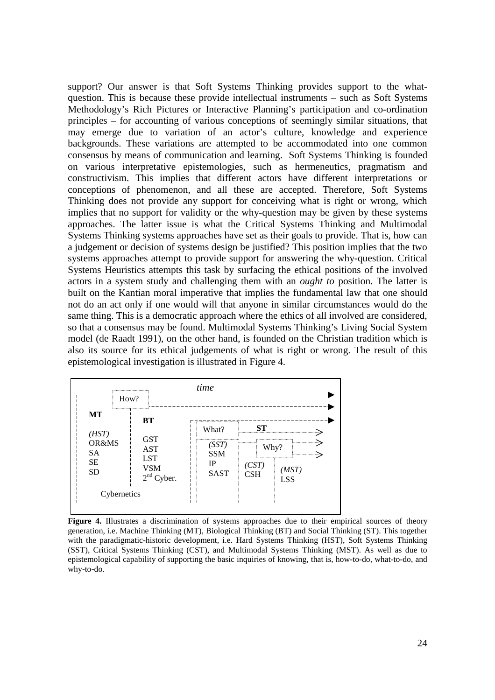support? Our answer is that Soft Systems Thinking provides support to the whatquestion. This is because these provide intellectual instruments – such as Soft Systems Methodology's Rich Pictures or Interactive Planning's participation and co-ordination principles – for accounting of various conceptions of seemingly similar situations, that may emerge due to variation of an actor's culture, knowledge and experience backgrounds. These variations are attempted to be accommodated into one common consensus by means of communication and learning. Soft Systems Thinking is founded on various interpretative epistemologies, such as hermeneutics, pragmatism and constructivism. This implies that different actors have different interpretations or conceptions of phenomenon, and all these are accepted. Therefore, Soft Systems Thinking does not provide any support for conceiving what is right or wrong, which implies that no support for validity or the why-question may be given by these systems approaches. The latter issue is what the Critical Systems Thinking and Multimodal Systems Thinking systems approaches have set as their goals to provide. That is, how can a judgement or decision of systems design be justified? This position implies that the two systems approaches attempt to provide support for answering the why-question. Critical Systems Heuristics attempts this task by surfacing the ethical positions of the involved actors in a system study and challenging them with an *ought to* position. The latter is built on the Kantian moral imperative that implies the fundamental law that one should not do an act only if one would will that anyone in similar circumstances would do the same thing. This is a democratic approach where the ethics of all involved are considered, so that a consensus may be found. Multimodal Systems Thinking's Living Social System model (de Raadt 1991), on the other hand, is founded on the Christian tradition which is also its source for its ethical judgements of what is right or wrong. The result of this epistemological investigation is illustrated in Figure 4.

|                                              | How?                                                          | time                                          |                  |                             |
|----------------------------------------------|---------------------------------------------------------------|-----------------------------------------------|------------------|-----------------------------|
| МT<br>(HST)                                  | <b>BT</b>                                                     | ===========<br>What?                          | <b>ST</b>        |                             |
| OR&MS<br><b>SA</b><br><b>SE</b><br><b>SD</b> | <b>GST</b><br><b>AST</b><br><b>LST</b><br>VSM<br>$2nd$ Cyber. | .<br>(SST)<br><b>SSM</b><br>IP<br><b>SAST</b> | <br>(CST)<br>CSH | Why?<br>(MST)<br><b>LSS</b> |
| Cybernetics                                  |                                                               |                                               |                  |                             |

Figure 4. Illustrates a discrimination of systems approaches due to their empirical sources of theory generation, i.e. Machine Thinking (MT), Biological Thinking (BT) and Social Thinking (ST). This together with the paradigmatic-historic development, i.e. Hard Systems Thinking (HST), Soft Systems Thinking (SST), Critical Systems Thinking (CST), and Multimodal Systems Thinking (MST). As well as due to epistemological capability of supporting the basic inquiries of knowing, that is, how-to-do, what-to-do, and why-to-do.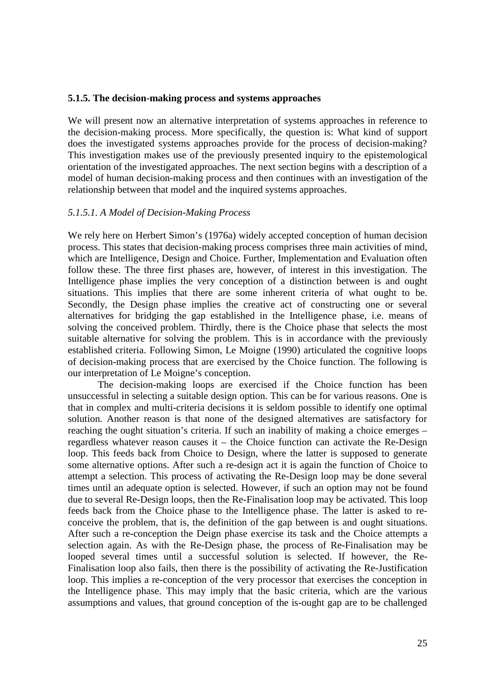#### **5.1.5. The decision-making process and systems approaches**

We will present now an alternative interpretation of systems approaches in reference to the decision-making process. More specifically, the question is: What kind of support does the investigated systems approaches provide for the process of decision-making? This investigation makes use of the previously presented inquiry to the epistemological orientation of the investigated approaches. The next section begins with a description of a model of human decision-making process and then continues with an investigation of the relationship between that model and the inquired systems approaches.

#### *5.1.5.1. A Model of Decision-Making Process*

We rely here on Herbert Simon's (1976a) widely accepted conception of human decision process. This states that decision-making process comprises three main activities of mind, which are Intelligence, Design and Choice. Further, Implementation and Evaluation often follow these. The three first phases are, however, of interest in this investigation. The Intelligence phase implies the very conception of a distinction between is and ought situations. This implies that there are some inherent criteria of what ought to be. Secondly, the Design phase implies the creative act of constructing one or several alternatives for bridging the gap established in the Intelligence phase, i.e. means of solving the conceived problem. Thirdly, there is the Choice phase that selects the most suitable alternative for solving the problem. This is in accordance with the previously established criteria. Following Simon, Le Moigne (1990) articulated the cognitive loops of decision-making process that are exercised by the Choice function. The following is our interpretation of Le Moigne's conception.

The decision-making loops are exercised if the Choice function has been unsuccessful in selecting a suitable design option. This can be for various reasons. One is that in complex and multi-criteria decisions it is seldom possible to identify one optimal solution. Another reason is that none of the designed alternatives are satisfactory for reaching the ought situation's criteria. If such an inability of making a choice emerges – regardless whatever reason causes it – the Choice function can activate the Re-Design loop. This feeds back from Choice to Design, where the latter is supposed to generate some alternative options. After such a re-design act it is again the function of Choice to attempt a selection. This process of activating the Re-Design loop may be done several times until an adequate option is selected. However, if such an option may not be found due to several Re-Design loops, then the Re-Finalisation loop may be activated. This loop feeds back from the Choice phase to the Intelligence phase. The latter is asked to reconceive the problem, that is, the definition of the gap between is and ought situations. After such a re-conception the Deign phase exercise its task and the Choice attempts a selection again. As with the Re-Design phase, the process of Re-Finalisation may be looped several times until a successful solution is selected. If however, the Re-Finalisation loop also fails, then there is the possibility of activating the Re-Justification loop. This implies a re-conception of the very processor that exercises the conception in the Intelligence phase. This may imply that the basic criteria, which are the various assumptions and values, that ground conception of the is-ought gap are to be challenged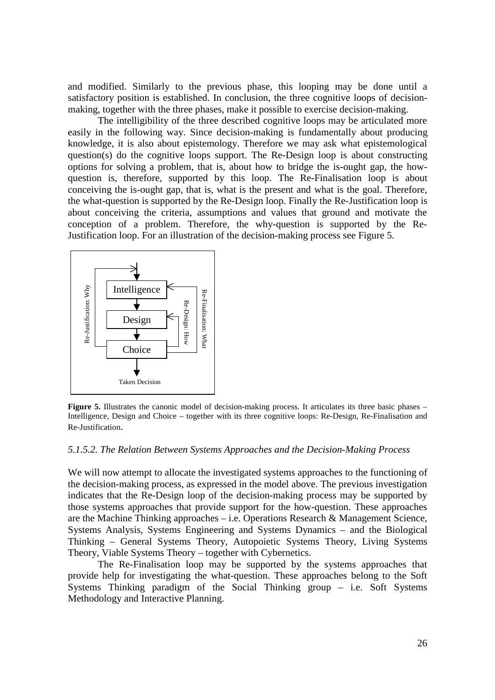and modified. Similarly to the previous phase, this looping may be done until a satisfactory position is established. In conclusion, the three cognitive loops of decisionmaking, together with the three phases, make it possible to exercise decision-making.

The intelligibility of the three described cognitive loops may be articulated more easily in the following way. Since decision-making is fundamentally about producing knowledge, it is also about epistemology. Therefore we may ask what epistemological question(s) do the cognitive loops support. The Re-Design loop is about constructing options for solving a problem, that is, about how to bridge the is-ought gap, the howquestion is, therefore, supported by this loop. The Re-Finalisation loop is about conceiving the is-ought gap, that is, what is the present and what is the goal. Therefore, the what-question is supported by the Re-Design loop. Finally the Re-Justification loop is about conceiving the criteria, assumptions and values that ground and motivate the conception of a problem. Therefore, the why-question is supported by the Re-Justification loop. For an illustration of the decision-making process see Figure 5.



Figure 5. Illustrates the canonic model of decision-making process. It articulates its three basic phases – Intelligence, Design and Choice – together with its three cognitive loops: Re-Design, Re-Finalisation and Re-Justification.

#### *5.1.5.2. The Relation Between Systems Approaches and the Decision-Making Process*

We will now attempt to allocate the investigated systems approaches to the functioning of the decision-making process, as expressed in the model above. The previous investigation indicates that the Re-Design loop of the decision-making process may be supported by those systems approaches that provide support for the how-question. These approaches are the Machine Thinking approaches – i.e. Operations Research & Management Science, Systems Analysis, Systems Engineering and Systems Dynamics – and the Biological Thinking – General Systems Theory, Autopoietic Systems Theory, Living Systems Theory, Viable Systems Theory – together with Cybernetics.

The Re-Finalisation loop may be supported by the systems approaches that provide help for investigating the what-question. These approaches belong to the Soft Systems Thinking paradigm of the Social Thinking group – i.e. Soft Systems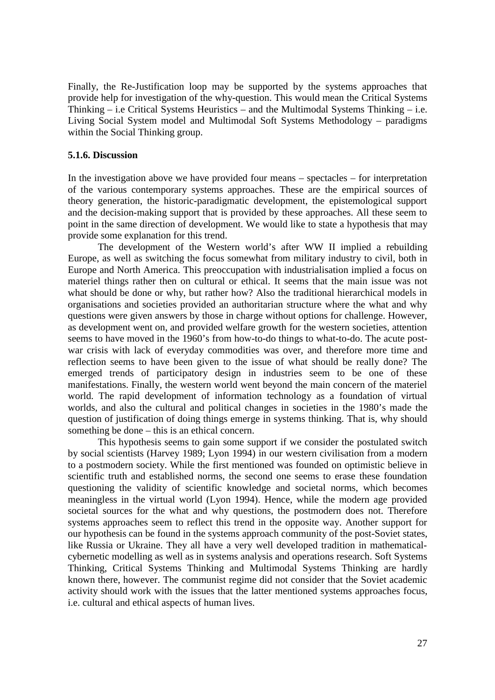Finally, the Re-Justification loop may be supported by the systems approaches that provide help for investigation of the why-question. This would mean the Critical Systems Thinking – i.e Critical Systems Heuristics – and the Multimodal Systems Thinking – i.e. Living Social System model and Multimodal Soft Systems Methodology – paradigms within the Social Thinking group.

#### **5.1.6. Discussion**

In the investigation above we have provided four means – spectacles – for interpretation of the various contemporary systems approaches. These are the empirical sources of theory generation, the historic-paradigmatic development, the epistemological support and the decision-making support that is provided by these approaches. All these seem to point in the same direction of development. We would like to state a hypothesis that may provide some explanation for this trend.

The development of the Western world's after WW II implied a rebuilding Europe, as well as switching the focus somewhat from military industry to civil, both in Europe and North America. This preoccupation with industrialisation implied a focus on materiel things rather then on cultural or ethical. It seems that the main issue was not what should be done or why, but rather how? Also the traditional hierarchical models in organisations and societies provided an authoritarian structure where the what and why questions were given answers by those in charge without options for challenge. However, as development went on, and provided welfare growth for the western societies, attention seems to have moved in the 1960's from how-to-do things to what-to-do. The acute postwar crisis with lack of everyday commodities was over, and therefore more time and reflection seems to have been given to the issue of what should be really done? The emerged trends of participatory design in industries seem to be one of these manifestations. Finally, the western world went beyond the main concern of the materiel world. The rapid development of information technology as a foundation of virtual worlds, and also the cultural and political changes in societies in the 1980's made the question of justification of doing things emerge in systems thinking. That is, why should something be done – this is an ethical concern.

This hypothesis seems to gain some support if we consider the postulated switch by social scientists (Harvey 1989; Lyon 1994) in our western civilisation from a modern to a postmodern society. While the first mentioned was founded on optimistic believe in scientific truth and established norms, the second one seems to erase these foundation questioning the validity of scientific knowledge and societal norms, which becomes meaningless in the virtual world (Lyon 1994). Hence, while the modern age provided societal sources for the what and why questions, the postmodern does not. Therefore systems approaches seem to reflect this trend in the opposite way. Another support for our hypothesis can be found in the systems approach community of the post-Soviet states, like Russia or Ukraine. They all have a very well developed tradition in mathematicalcybernetic modelling as well as in systems analysis and operations research. Soft Systems Thinking, Critical Systems Thinking and Multimodal Systems Thinking are hardly known there, however. The communist regime did not consider that the Soviet academic activity should work with the issues that the latter mentioned systems approaches focus, i.e. cultural and ethical aspects of human lives.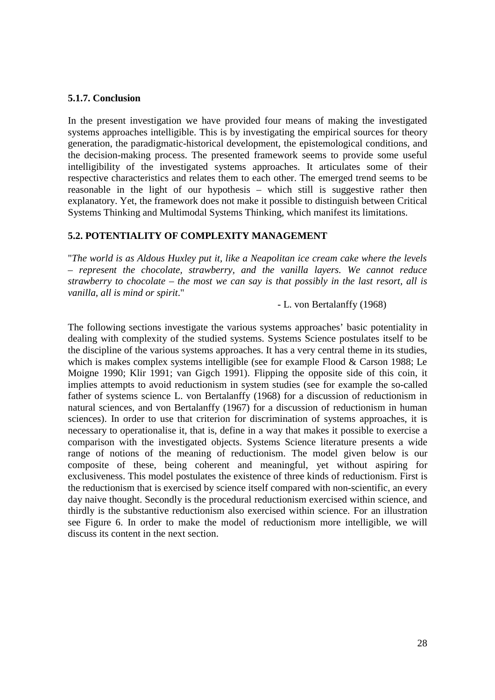## **5.1.7. Conclusion**

In the present investigation we have provided four means of making the investigated systems approaches intelligible. This is by investigating the empirical sources for theory generation, the paradigmatic-historical development, the epistemological conditions, and the decision-making process. The presented framework seems to provide some useful intelligibility of the investigated systems approaches. It articulates some of their respective characteristics and relates them to each other. The emerged trend seems to be reasonable in the light of our hypothesis – which still is suggestive rather then explanatory. Yet, the framework does not make it possible to distinguish between Critical Systems Thinking and Multimodal Systems Thinking, which manifest its limitations.

# **5.2. POTENTIALITY OF COMPLEXITY MANAGEMENT**

"*The world is as Aldous Huxley put it, like a Neapolitan ice cream cake where the levels – represent the chocolate, strawberry, and the vanilla layers. We cannot reduce strawberry to chocolate – the most we can say is that possibly in the last resort, all is vanilla, all is mind or spirit*."

- L. von Bertalanffy (1968)

The following sections investigate the various systems approaches' basic potentiality in dealing with complexity of the studied systems. Systems Science postulates itself to be the discipline of the various systems approaches. It has a very central theme in its studies, which is makes complex systems intelligible (see for example Flood & Carson 1988; Le Moigne 1990; Klir 1991; van Gigch 1991). Flipping the opposite side of this coin, it implies attempts to avoid reductionism in system studies (see for example the so-called father of systems science L. von Bertalanffy (1968) for a discussion of reductionism in natural sciences, and von Bertalanffy (1967) for a discussion of reductionism in human sciences). In order to use that criterion for discrimination of systems approaches, it is necessary to operationalise it, that is, define in a way that makes it possible to exercise a comparison with the investigated objects. Systems Science literature presents a wide range of notions of the meaning of reductionism. The model given below is our composite of these, being coherent and meaningful, yet without aspiring for exclusiveness. This model postulates the existence of three kinds of reductionism. First is the reductionism that is exercised by science itself compared with non-scientific, an every day naive thought. Secondly is the procedural reductionism exercised within science, and thirdly is the substantive reductionism also exercised within science. For an illustration see Figure 6. In order to make the model of reductionism more intelligible, we will discuss its content in the next section.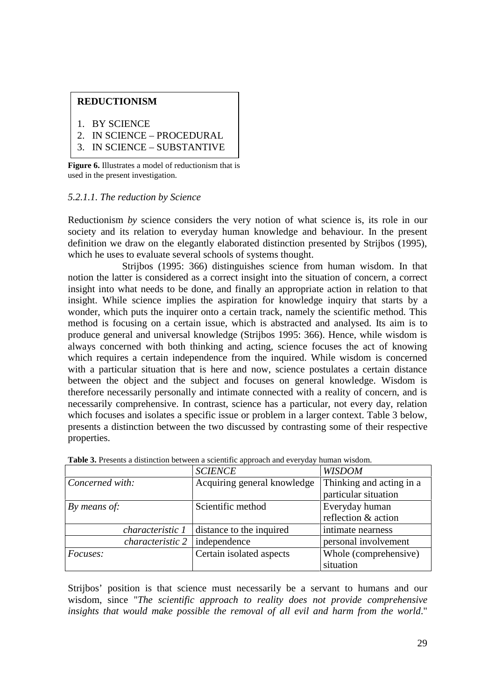# **REDUCTIONISM**

1. BY SCIENCE

- 2. IN SCIENCE PROCEDURAL
- 3. IN SCIENCE SUBSTANTIVE

**Figure 6.** Illustrates a model of reductionism that is used in the present investigation.

# *5.2.1.1. The reduction by Science*

Reductionism *by* science considers the very notion of what science is, its role in our society and its relation to everyday human knowledge and behaviour. In the present definition we draw on the elegantly elaborated distinction presented by Strijbos (1995), which he uses to evaluate several schools of systems thought.

Strijbos (1995: 366) distinguishes science from human wisdom. In that notion the latter is considered as a correct insight into the situation of concern, a correct insight into what needs to be done, and finally an appropriate action in relation to that insight. While science implies the aspiration for knowledge inquiry that starts by a wonder, which puts the inquirer onto a certain track, namely the scientific method. This method is focusing on a certain issue, which is abstracted and analysed. Its aim is to produce general and universal knowledge (Strijbos 1995: 366). Hence, while wisdom is always concerned with both thinking and acting, science focuses the act of knowing which requires a certain independence from the inquired. While wisdom is concerned with a particular situation that is here and now, science postulates a certain distance between the object and the subject and focuses on general knowledge. Wisdom is therefore necessarily personally and intimate connected with a reality of concern, and is necessarily comprehensive. In contrast, science has a particular, not every day, relation which focuses and isolates a specific issue or problem in a larger context. Table 3 below, presents a distinction between the two discussed by contrasting some of their respective properties.

|                         | <b>SCIENCE</b>              | <b>WISDOM</b>            |
|-------------------------|-----------------------------|--------------------------|
| Concerned with:         | Acquiring general knowledge | Thinking and acting in a |
|                         |                             | particular situation     |
| By means of:            | Scientific method           | Everyday human           |
|                         |                             | reflection & action      |
| characteristic 1        | distance to the inquired    | intimate nearness        |
| <i>characteristic 2</i> | independence                | personal involvement     |
| <i>Focuses:</i>         | Certain isolated aspects    | Whole (comprehensive)    |
|                         |                             | situation                |

**Table 3.** Presents a distinction between a scientific approach and everyday human wisdom.

Strijbos' position is that science must necessarily be a servant to humans and our wisdom, since "*The scientific approach to reality does not provide comprehensive insights that would make possible the removal of all evil and harm from the world*."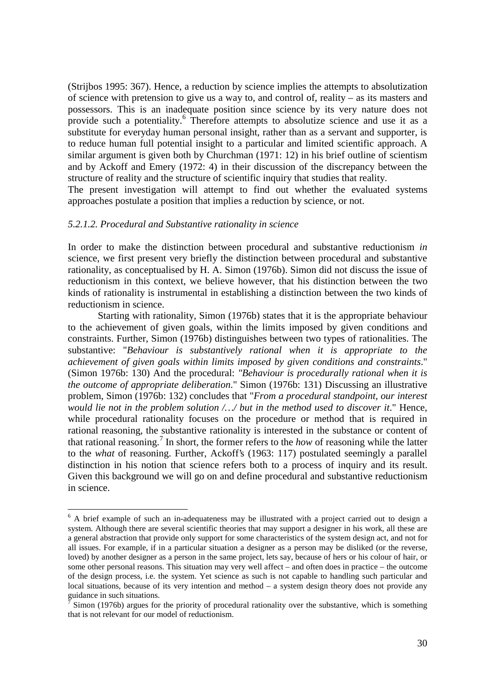(Strijbos 1995: 367). Hence, a reduction by science implies the attempts to absolutization of science with pretension to give us a way to, and control of, reality – as its masters and possessors. This is an inadequate position since science by its very nature does not provide such a potentiality.<sup>6</sup> Therefore attempts to absolutize science and use it as a substitute for everyday human personal insight, rather than as a servant and supporter, is to reduce human full potential insight to a particular and limited scientific approach. A similar argument is given both by Churchman (1971: 12) in his brief outline of scientism and by Ackoff and Emery (1972: 4) in their discussion of the discrepancy between the structure of reality and the structure of scientific inquiry that studies that reality.

The present investigation will attempt to find out whether the evaluated systems approaches postulate a position that implies a reduction by science, or not.

#### *5.2.1.2. Procedural and Substantive rationality in science*

<u>.</u>

In order to make the distinction between procedural and substantive reductionism *in* science, we first present very briefly the distinction between procedural and substantive rationality, as conceptualised by H. A. Simon (1976b). Simon did not discuss the issue of reductionism in this context, we believe however, that his distinction between the two kinds of rationality is instrumental in establishing a distinction between the two kinds of reductionism in science.

Starting with rationality, Simon (1976b) states that it is the appropriate behaviour to the achievement of given goals, within the limits imposed by given conditions and constraints. Further, Simon (1976b) distinguishes between two types of rationalities. The substantive: "*Behaviour is substantively rational when it is appropriate to the achievement of given goals within limits imposed by given conditions and constraints*." (Simon 1976b: 130) And the procedural: *"Behaviour is procedurally rational when it is the outcome of appropriate deliberation*." Simon (1976b: 131) Discussing an illustrative problem, Simon (1976b: 132) concludes that "*From a procedural standpoint, our interest would lie not in the problem solution /…/ but in the method used to discover it*." Hence, while procedural rationality focuses on the procedure or method that is required in rational reasoning, the substantive rationality is interested in the substance or content of that rational reasoning.<sup>7</sup> In short, the former refers to the *how* of reasoning while the latter to the *what* of reasoning. Further, Ackoff's (1963: 117) postulated seemingly a parallel distinction in his notion that science refers both to a process of inquiry and its result. Given this background we will go on and define procedural and substantive reductionism in science.

<sup>&</sup>lt;sup>6</sup> A brief example of such an in-adequateness may be illustrated with a project carried out to design a system. Although there are several scientific theories that may support a designer in his work, all these are a general abstraction that provide only support for some characteristics of the system design act, and not for all issues. For example, if in a particular situation a designer as a person may be disliked (or the reverse, loved) by another designer as a person in the same project, lets say, because of hers or his colour of hair, or some other personal reasons. This situation may very well affect – and often does in practice – the outcome of the design process, i.e. the system. Yet science as such is not capable to handling such particular and local situations, because of its very intention and method – a system design theory does not provide any guidance in such situations.<br> $\frac{7}{7}$  Simon (1076b) argues for

Simon (1976b) argues for the priority of procedural rationality over the substantive, which is something that is not relevant for our model of reductionism.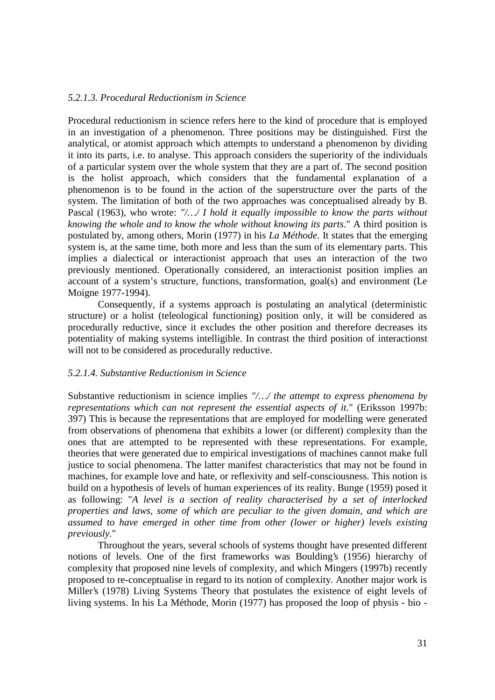## *5.2.1.3. Procedural Reductionism in Science*

Procedural reductionism in science refers here to the kind of procedure that is employed in an investigation of a phenomenon. Three positions may be distinguished. First the analytical, or atomist approach which attempts to understand a phenomenon by dividing it into its parts, i.e. to analyse. This approach considers the superiority of the individuals of a particular system over the whole system that they are a part of. The second position is the holist approach, which considers that the fundamental explanation of a phenomenon is to be found in the action of the superstructure over the parts of the system. The limitation of both of the two approaches was conceptualised already by B. Pascal (1963), who wrote: *"/…/ I hold it equally impossible to know the parts without knowing the whole and to know the whole without knowing its parts*." A third position is postulated by, among others, Morin (1977) in his *La Méthode*. It states that the emerging system is, at the same time, both more and less than the sum of its elementary parts. This implies a dialectical or interactionist approach that uses an interaction of the two previously mentioned. Operationally considered, an interactionist position implies an account of a system's structure, functions, transformation, goal(s) and environment (Le Moigne 1977-1994).

Consequently, if a systems approach is postulating an analytical (deterministic structure) or a holist (teleological functioning) position only, it will be considered as procedurally reductive, since it excludes the other position and therefore decreases its potentiality of making systems intelligible. In contrast the third position of interactionst will not to be considered as procedurally reductive.

# *5.2.1.4. Substantive Reductionism in Science*

Substantive reductionism in science implies *"/…/ the attempt to express phenomena by representations which can not represent the essential aspects of it.*" (Eriksson 1997b: 397) This is because the representations that are employed for modelling were generated from observations of phenomena that exhibits a lower (or different) complexity than the ones that are attempted to be represented with these representations. For example, theories that were generated due to empirical investigations of machines cannot make full justice to social phenomena. The latter manifest characteristics that may not be found in machines, for example love and hate, or reflexivity and self-consciousness. This notion is build on a hypothesis of levels of human experiences of its reality. Bunge (1959) posed it as following: "*A level is a section of reality characterised by a set of interlocked properties and laws, some of which are peculiar to the given domain, and which are assumed to have emerged in other time from other (lower or higher) levels existing previously*."

Throughout the years, several schools of systems thought have presented different notions of levels. One of the first frameworks was Boulding's (1956) hierarchy of complexity that proposed nine levels of complexity, and which Mingers (1997b) recently proposed to re-conceptualise in regard to its notion of complexity. Another major work is Miller's (1978) Living Systems Theory that postulates the existence of eight levels of living systems. In his La Méthode, Morin (1977) has proposed the loop of physis - bio -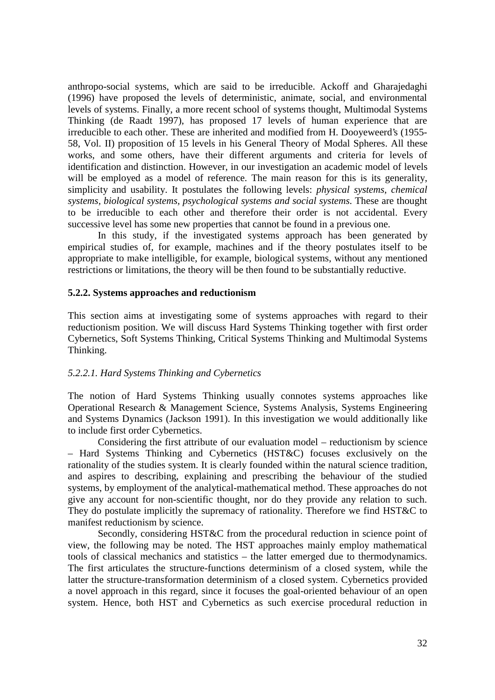anthropo-social systems, which are said to be irreducible. Ackoff and Gharajedaghi (1996) have proposed the levels of deterministic, animate, social, and environmental levels of systems. Finally, a more recent school of systems thought, Multimodal Systems Thinking (de Raadt 1997), has proposed 17 levels of human experience that are irreducible to each other. These are inherited and modified from H. Dooyeweerd's (1955- 58, Vol. II) proposition of 15 levels in his General Theory of Modal Spheres. All these works, and some others, have their different arguments and criteria for levels of identification and distinction. However, in our investigation an academic model of levels will be employed as a model of reference. The main reason for this is its generality, simplicity and usability. It postulates the following levels: *physical systems, chemical systems, biological systems, psychological systems and social systems*. These are thought to be irreducible to each other and therefore their order is not accidental. Every successive level has some new properties that cannot be found in a previous one.

In this study, if the investigated systems approach has been generated by empirical studies of, for example, machines and if the theory postulates itself to be appropriate to make intelligible, for example, biological systems, without any mentioned restrictions or limitations, the theory will be then found to be substantially reductive.

## **5.2.2. Systems approaches and reductionism**

This section aims at investigating some of systems approaches with regard to their reductionism position. We will discuss Hard Systems Thinking together with first order Cybernetics, Soft Systems Thinking, Critical Systems Thinking and Multimodal Systems Thinking.

#### *5.2.2.1. Hard Systems Thinking and Cybernetics*

The notion of Hard Systems Thinking usually connotes systems approaches like Operational Research & Management Science, Systems Analysis, Systems Engineering and Systems Dynamics (Jackson 1991). In this investigation we would additionally like to include first order Cybernetics.

Considering the first attribute of our evaluation model – reductionism by science – Hard Systems Thinking and Cybernetics (HST&C) focuses exclusively on the rationality of the studies system. It is clearly founded within the natural science tradition, and aspires to describing, explaining and prescribing the behaviour of the studied systems, by employment of the analytical-mathematical method. These approaches do not give any account for non-scientific thought, nor do they provide any relation to such. They do postulate implicitly the supremacy of rationality. Therefore we find HST&C to manifest reductionism by science.

Secondly, considering HST&C from the procedural reduction in science point of view, the following may be noted. The HST approaches mainly employ mathematical tools of classical mechanics and statistics – the latter emerged due to thermodynamics. The first articulates the structure-functions determinism of a closed system, while the latter the structure-transformation determinism of a closed system. Cybernetics provided a novel approach in this regard, since it focuses the goal-oriented behaviour of an open system. Hence, both HST and Cybernetics as such exercise procedural reduction in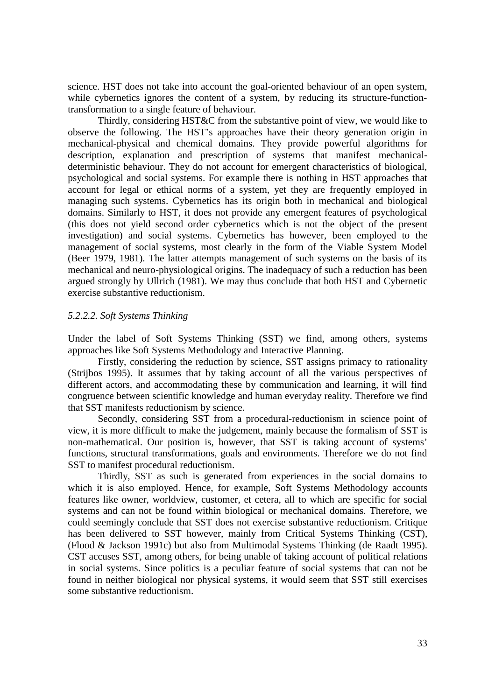science. HST does not take into account the goal-oriented behaviour of an open system, while cybernetics ignores the content of a system, by reducing its structure-functiontransformation to a single feature of behaviour.

Thirdly, considering HST&C from the substantive point of view, we would like to observe the following. The HST's approaches have their theory generation origin in mechanical-physical and chemical domains. They provide powerful algorithms for description, explanation and prescription of systems that manifest mechanicaldeterministic behaviour. They do not account for emergent characteristics of biological, psychological and social systems. For example there is nothing in HST approaches that account for legal or ethical norms of a system, yet they are frequently employed in managing such systems. Cybernetics has its origin both in mechanical and biological domains. Similarly to HST, it does not provide any emergent features of psychological (this does not yield second order cybernetics which is not the object of the present investigation) and social systems. Cybernetics has however, been employed to the management of social systems, most clearly in the form of the Viable System Model (Beer 1979, 1981). The latter attempts management of such systems on the basis of its mechanical and neuro-physiological origins. The inadequacy of such a reduction has been argued strongly by Ullrich (1981). We may thus conclude that both HST and Cybernetic exercise substantive reductionism.

#### *5.2.2.2. Soft Systems Thinking*

Under the label of Soft Systems Thinking (SST) we find, among others, systems approaches like Soft Systems Methodology and Interactive Planning.

Firstly, considering the reduction by science, SST assigns primacy to rationality (Strijbos 1995). It assumes that by taking account of all the various perspectives of different actors, and accommodating these by communication and learning, it will find congruence between scientific knowledge and human everyday reality. Therefore we find that SST manifests reductionism by science.

Secondly, considering SST from a procedural-reductionism in science point of view, it is more difficult to make the judgement, mainly because the formalism of SST is non-mathematical. Our position is, however, that SST is taking account of systems' functions, structural transformations, goals and environments. Therefore we do not find SST to manifest procedural reductionism.

Thirdly, SST as such is generated from experiences in the social domains to which it is also employed. Hence, for example, Soft Systems Methodology accounts features like owner, worldview, customer, et cetera, all to which are specific for social systems and can not be found within biological or mechanical domains. Therefore, we could seemingly conclude that SST does not exercise substantive reductionism. Critique has been delivered to SST however, mainly from Critical Systems Thinking (CST), (Flood & Jackson 1991c) but also from Multimodal Systems Thinking (de Raadt 1995). CST accuses SST, among others, for being unable of taking account of political relations in social systems. Since politics is a peculiar feature of social systems that can not be found in neither biological nor physical systems, it would seem that SST still exercises some substantive reductionism.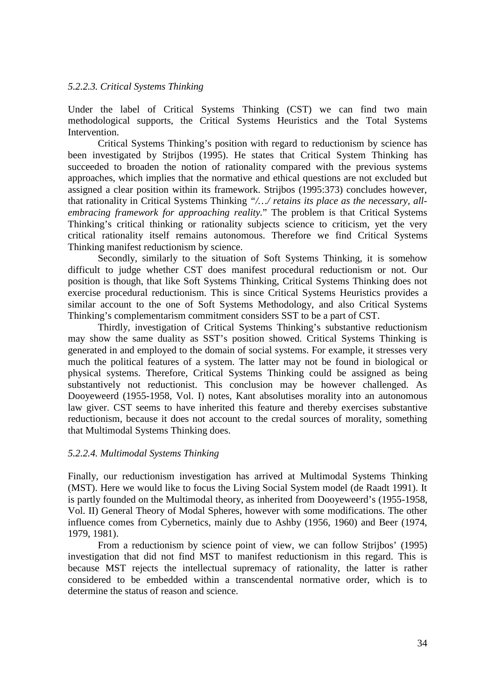## *5.2.2.3. Critical Systems Thinking*

Under the label of Critical Systems Thinking (CST) we can find two main methodological supports, the Critical Systems Heuristics and the Total Systems Intervention.

Critical Systems Thinking's position with regard to reductionism by science has been investigated by Strijbos (1995). He states that Critical System Thinking has succeeded to broaden the notion of rationality compared with the previous systems approaches, which implies that the normative and ethical questions are not excluded but assigned a clear position within its framework. Strijbos (1995:373) concludes however, that rationality in Critical Systems Thinking *"/…/ retains its place as the necessary, allembracing framework for approaching reality.*" The problem is that Critical Systems Thinking's critical thinking or rationality subjects science to criticism, yet the very critical rationality itself remains autonomous. Therefore we find Critical Systems Thinking manifest reductionism by science.

Secondly, similarly to the situation of Soft Systems Thinking, it is somehow difficult to judge whether CST does manifest procedural reductionism or not. Our position is though, that like Soft Systems Thinking, Critical Systems Thinking does not exercise procedural reductionism. This is since Critical Systems Heuristics provides a similar account to the one of Soft Systems Methodology, and also Critical Systems Thinking's complementarism commitment considers SST to be a part of CST.

Thirdly, investigation of Critical Systems Thinking's substantive reductionism may show the same duality as SST's position showed. Critical Systems Thinking is generated in and employed to the domain of social systems. For example, it stresses very much the political features of a system. The latter may not be found in biological or physical systems. Therefore, Critical Systems Thinking could be assigned as being substantively not reductionist. This conclusion may be however challenged. As Dooyeweerd (1955-1958, Vol. I) notes, Kant absolutises morality into an autonomous law giver. CST seems to have inherited this feature and thereby exercises substantive reductionism, because it does not account to the credal sources of morality, something that Multimodal Systems Thinking does.

# *5.2.2.4. Multimodal Systems Thinking*

Finally, our reductionism investigation has arrived at Multimodal Systems Thinking (MST). Here we would like to focus the Living Social System model (de Raadt 1991). It is partly founded on the Multimodal theory, as inherited from Dooyeweerd's (1955-1958, Vol. II) General Theory of Modal Spheres, however with some modifications. The other influence comes from Cybernetics, mainly due to Ashby (1956, 1960) and Beer (1974, 1979, 1981).

From a reductionism by science point of view, we can follow Strijbos' (1995) investigation that did not find MST to manifest reductionism in this regard. This is because MST rejects the intellectual supremacy of rationality, the latter is rather considered to be embedded within a transcendental normative order, which is to determine the status of reason and science.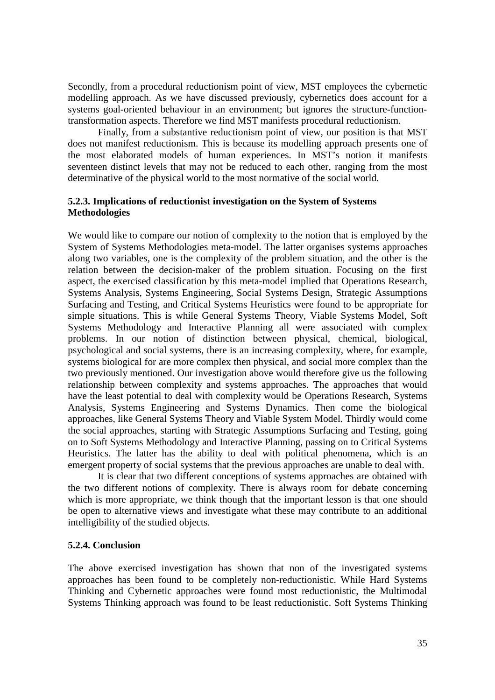Secondly, from a procedural reductionism point of view, MST employees the cybernetic modelling approach. As we have discussed previously, cybernetics does account for a systems goal-oriented behaviour in an environment; but ignores the structure-functiontransformation aspects. Therefore we find MST manifests procedural reductionism.

Finally, from a substantive reductionism point of view, our position is that MST does not manifest reductionism. This is because its modelling approach presents one of the most elaborated models of human experiences. In MST's notion it manifests seventeen distinct levels that may not be reduced to each other, ranging from the most determinative of the physical world to the most normative of the social world.

# **5.2.3. Implications of reductionist investigation on the System of Systems Methodologies**

We would like to compare our notion of complexity to the notion that is employed by the System of Systems Methodologies meta-model. The latter organises systems approaches along two variables, one is the complexity of the problem situation, and the other is the relation between the decision-maker of the problem situation. Focusing on the first aspect, the exercised classification by this meta-model implied that Operations Research, Systems Analysis, Systems Engineering, Social Systems Design, Strategic Assumptions Surfacing and Testing, and Critical Systems Heuristics were found to be appropriate for simple situations. This is while General Systems Theory, Viable Systems Model, Soft Systems Methodology and Interactive Planning all were associated with complex problems. In our notion of distinction between physical, chemical, biological, psychological and social systems, there is an increasing complexity, where, for example, systems biological for are more complex then physical, and social more complex than the two previously mentioned. Our investigation above would therefore give us the following relationship between complexity and systems approaches. The approaches that would have the least potential to deal with complexity would be Operations Research, Systems Analysis, Systems Engineering and Systems Dynamics. Then come the biological approaches, like General Systems Theory and Viable System Model. Thirdly would come the social approaches, starting with Strategic Assumptions Surfacing and Testing, going on to Soft Systems Methodology and Interactive Planning, passing on to Critical Systems Heuristics. The latter has the ability to deal with political phenomena, which is an emergent property of social systems that the previous approaches are unable to deal with.

It is clear that two different conceptions of systems approaches are obtained with the two different notions of complexity. There is always room for debate concerning which is more appropriate, we think though that the important lesson is that one should be open to alternative views and investigate what these may contribute to an additional intelligibility of the studied objects.

# **5.2.4. Conclusion**

The above exercised investigation has shown that non of the investigated systems approaches has been found to be completely non-reductionistic. While Hard Systems Thinking and Cybernetic approaches were found most reductionistic, the Multimodal Systems Thinking approach was found to be least reductionistic. Soft Systems Thinking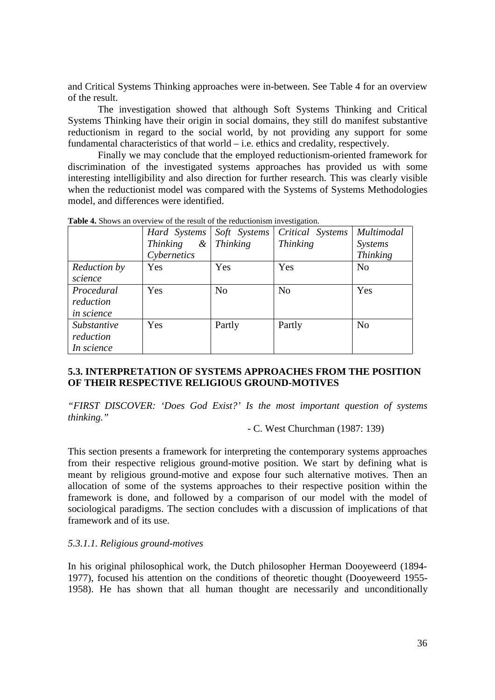and Critical Systems Thinking approaches were in-between. See Table 4 for an overview of the result.

The investigation showed that although Soft Systems Thinking and Critical Systems Thinking have their origin in social domains, they still do manifest substantive reductionism in regard to the social world, by not providing any support for some fundamental characteristics of that world – i.e. ethics and credality, respectively.

Finally we may conclude that the employed reductionism-oriented framework for discrimination of the investigated systems approaches has provided us with some interesting intelligibility and also direction for further research. This was clearly visible when the reductionist model was compared with the Systems of Systems Methodologies model, and differences were identified.

|                                        | Hard Systems                | Soft Systems    | Critical Systems | Multimodal      |
|----------------------------------------|-----------------------------|-----------------|------------------|-----------------|
|                                        | <b>Thinking</b><br>$\alpha$ | <i>Thinking</i> | <b>Thinking</b>  | <i>Systems</i>  |
|                                        | Cybernetics                 |                 |                  | <b>Thinking</b> |
| Reduction by<br>science                | Yes                         | Yes             | Yes              | N <sub>o</sub>  |
| Procedural<br>reduction<br>in science  | Yes                         | N <sub>0</sub>  | N <sub>0</sub>   | Yes             |
| Substantive<br>reduction<br>In science | Yes                         | Partly          | Partly           | N <sub>o</sub>  |

**Table 4.** Shows an overview of the result of the reductionism investigation.

# **5.3. INTERPRETATION OF SYSTEMS APPROACHES FROM THE POSITION OF THEIR RESPECTIVE RELIGIOUS GROUND-MOTIVES**

*"FIRST DISCOVER: 'Does God Exist?' Is the most important question of systems thinking."*

## - C. West Churchman (1987: 139)

This section presents a framework for interpreting the contemporary systems approaches from their respective religious ground-motive position. We start by defining what is meant by religious ground-motive and expose four such alternative motives. Then an allocation of some of the systems approaches to their respective position within the framework is done, and followed by a comparison of our model with the model of sociological paradigms. The section concludes with a discussion of implications of that framework and of its use.

#### *5.3.1.1. Religious ground-motives*

In his original philosophical work, the Dutch philosopher Herman Dooyeweerd (1894- 1977), focused his attention on the conditions of theoretic thought (Dooyeweerd 1955- 1958). He has shown that all human thought are necessarily and unconditionally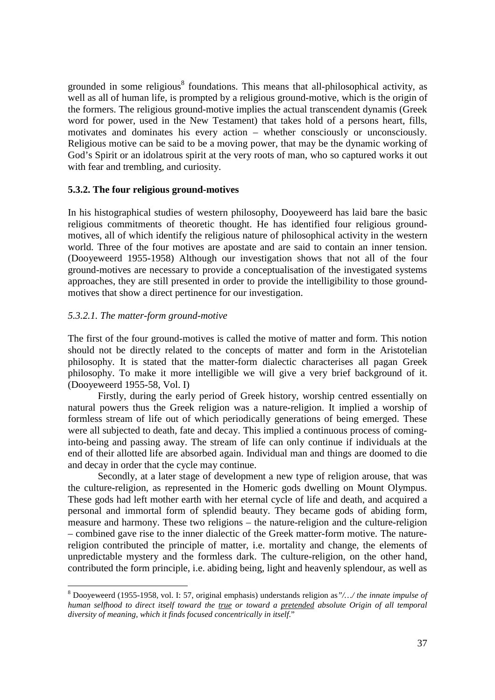grounded in some religious<sup>8</sup> foundations. This means that all-philosophical activity, as well as all of human life, is prompted by a religious ground-motive, which is the origin of the formers. The religious ground-motive implies the actual transcendent dynamis (Greek word for power, used in the New Testament) that takes hold of a persons heart, fills, motivates and dominates his every action – whether consciously or unconsciously. Religious motive can be said to be a moving power, that may be the dynamic working of God's Spirit or an idolatrous spirit at the very roots of man, who so captured works it out with fear and trembling, and curiosity.

# **5.3.2. The four religious ground-motives**

In his histographical studies of western philosophy, Dooyeweerd has laid bare the basic religious commitments of theoretic thought. He has identified four religious groundmotives, all of which identify the religious nature of philosophical activity in the western world. Three of the four motives are apostate and are said to contain an inner tension. (Dooyeweerd 1955-1958) Although our investigation shows that not all of the four ground-motives are necessary to provide a conceptualisation of the investigated systems approaches, they are still presented in order to provide the intelligibility to those groundmotives that show a direct pertinence for our investigation.

## *5.3.2.1. The matter-form ground-motive*

<u>.</u>

The first of the four ground-motives is called the motive of matter and form. This notion should not be directly related to the concepts of matter and form in the Aristotelian philosophy. It is stated that the matter-form dialectic characterises all pagan Greek philosophy. To make it more intelligible we will give a very brief background of it. (Dooyeweerd 1955-58, Vol. I)

Firstly, during the early period of Greek history, worship centred essentially on natural powers thus the Greek religion was a nature-religion. It implied a worship of formless stream of life out of which periodically generations of being emerged. These were all subjected to death, fate and decay. This implied a continuous process of cominginto-being and passing away. The stream of life can only continue if individuals at the end of their allotted life are absorbed again. Individual man and things are doomed to die and decay in order that the cycle may continue.

Secondly, at a later stage of development a new type of religion arouse, that was the culture-religion, as represented in the Homeric gods dwelling on Mount Olympus. These gods had left mother earth with her eternal cycle of life and death, and acquired a personal and immortal form of splendid beauty. They became gods of abiding form, measure and harmony. These two religions – the nature-religion and the culture-religion – combined gave rise to the inner dialectic of the Greek matter-form motive. The naturereligion contributed the principle of matter, i.e. mortality and change, the elements of unpredictable mystery and the formless dark. The culture-religion, on the other hand, contributed the form principle, i.e. abiding being, light and heavenly splendour, as well as

<sup>8</sup> Dooyeweerd (1955-1958, vol. I: 57, original emphasis) understands religion as*"/…/ the innate impulse of human selfhood to direct itself toward the true or toward a pretended absolute Origin of all temporal diversity of meaning, which it finds focused concentrically in itself*."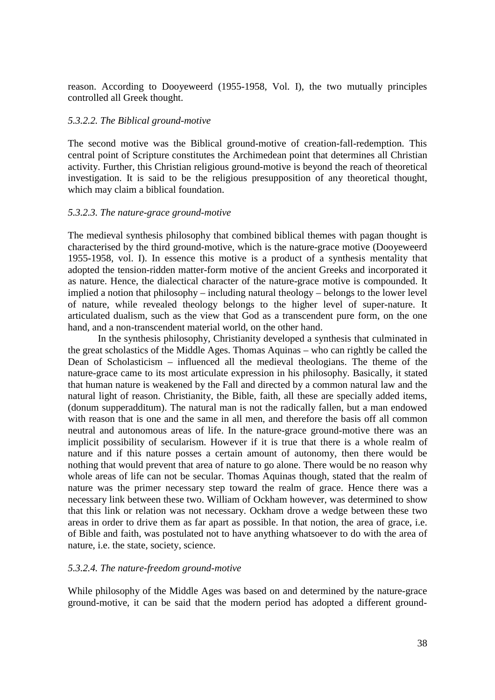reason. According to Dooyeweerd (1955-1958, Vol. I), the two mutually principles controlled all Greek thought.

#### *5.3.2.2. The Biblical ground-motive*

The second motive was the Biblical ground-motive of creation-fall-redemption. This central point of Scripture constitutes the Archimedean point that determines all Christian activity. Further, this Christian religious ground-motive is beyond the reach of theoretical investigation. It is said to be the religious presupposition of any theoretical thought, which may claim a biblical foundation.

#### *5.3.2.3. The nature-grace ground-motive*

The medieval synthesis philosophy that combined biblical themes with pagan thought is characterised by the third ground-motive, which is the nature-grace motive (Dooyeweerd 1955-1958, vol. I). In essence this motive is a product of a synthesis mentality that adopted the tension-ridden matter-form motive of the ancient Greeks and incorporated it as nature. Hence, the dialectical character of the nature-grace motive is compounded. It implied a notion that philosophy – including natural theology – belongs to the lower level of nature, while revealed theology belongs to the higher level of super-nature. It articulated dualism, such as the view that God as a transcendent pure form, on the one hand, and a non-transcendent material world, on the other hand.

In the synthesis philosophy, Christianity developed a synthesis that culminated in the great scholastics of the Middle Ages. Thomas Aquinas – who can rightly be called the Dean of Scholasticism – influenced all the medieval theologians. The theme of the nature-grace came to its most articulate expression in his philosophy. Basically, it stated that human nature is weakened by the Fall and directed by a common natural law and the natural light of reason. Christianity, the Bible, faith, all these are specially added items, (donum supperadditum). The natural man is not the radically fallen, but a man endowed with reason that is one and the same in all men, and therefore the basis off all common neutral and autonomous areas of life. In the nature-grace ground-motive there was an implicit possibility of secularism. However if it is true that there is a whole realm of nature and if this nature posses a certain amount of autonomy, then there would be nothing that would prevent that area of nature to go alone. There would be no reason why whole areas of life can not be secular. Thomas Aquinas though, stated that the realm of nature was the primer necessary step toward the realm of grace. Hence there was a necessary link between these two. William of Ockham however, was determined to show that this link or relation was not necessary. Ockham drove a wedge between these two areas in order to drive them as far apart as possible. In that notion, the area of grace, i.e. of Bible and faith, was postulated not to have anything whatsoever to do with the area of nature, i.e. the state, society, science.

#### *5.3.2.4. The nature-freedom ground-motive*

While philosophy of the Middle Ages was based on and determined by the nature-grace ground-motive, it can be said that the modern period has adopted a different ground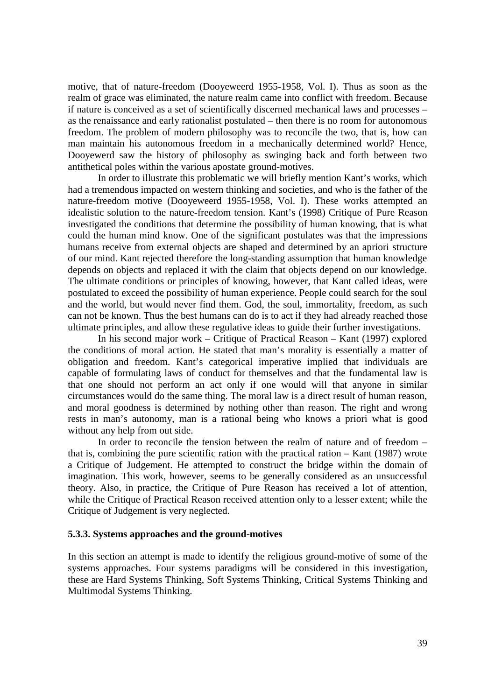motive, that of nature-freedom (Dooyeweerd 1955-1958, Vol. I). Thus as soon as the realm of grace was eliminated, the nature realm came into conflict with freedom. Because if nature is conceived as a set of scientifically discerned mechanical laws and processes – as the renaissance and early rationalist postulated – then there is no room for autonomous freedom. The problem of modern philosophy was to reconcile the two, that is, how can man maintain his autonomous freedom in a mechanically determined world? Hence, Dooyewerd saw the history of philosophy as swinging back and forth between two antithetical poles within the various apostate ground-motives.

In order to illustrate this problematic we will briefly mention Kant's works, which had a tremendous impacted on western thinking and societies, and who is the father of the nature-freedom motive (Dooyeweerd 1955-1958, Vol. I). These works attempted an idealistic solution to the nature-freedom tension. Kant's (1998) Critique of Pure Reason investigated the conditions that determine the possibility of human knowing, that is what could the human mind know. One of the significant postulates was that the impressions humans receive from external objects are shaped and determined by an apriori structure of our mind. Kant rejected therefore the long-standing assumption that human knowledge depends on objects and replaced it with the claim that objects depend on our knowledge. The ultimate conditions or principles of knowing, however, that Kant called ideas, were postulated to exceed the possibility of human experience. People could search for the soul and the world, but would never find them. God, the soul, immortality, freedom, as such can not be known. Thus the best humans can do is to act if they had already reached those ultimate principles, and allow these regulative ideas to guide their further investigations.

In his second major work – Critique of Practical Reason – Kant (1997) explored the conditions of moral action. He stated that man's morality is essentially a matter of obligation and freedom. Kant's categorical imperative implied that individuals are capable of formulating laws of conduct for themselves and that the fundamental law is that one should not perform an act only if one would will that anyone in similar circumstances would do the same thing. The moral law is a direct result of human reason, and moral goodness is determined by nothing other than reason. The right and wrong rests in man's autonomy, man is a rational being who knows a priori what is good without any help from out side.

In order to reconcile the tension between the realm of nature and of freedom – that is, combining the pure scientific ration with the practical ration – Kant (1987) wrote a Critique of Judgement. He attempted to construct the bridge within the domain of imagination. This work, however, seems to be generally considered as an unsuccessful theory. Also, in practice, the Critique of Pure Reason has received a lot of attention, while the Critique of Practical Reason received attention only to a lesser extent; while the Critique of Judgement is very neglected.

#### **5.3.3. Systems approaches and the ground-motives**

In this section an attempt is made to identify the religious ground-motive of some of the systems approaches. Four systems paradigms will be considered in this investigation, these are Hard Systems Thinking, Soft Systems Thinking, Critical Systems Thinking and Multimodal Systems Thinking.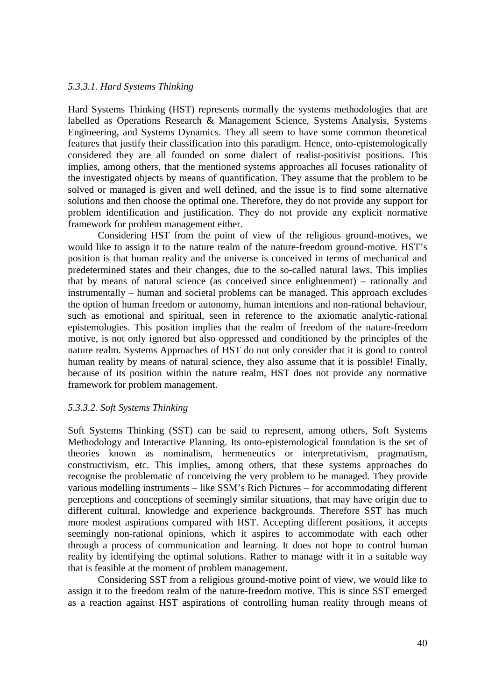#### *5.3.3.1. Hard Systems Thinking*

Hard Systems Thinking (HST) represents normally the systems methodologies that are labelled as Operations Research & Management Science, Systems Analysis, Systems Engineering, and Systems Dynamics. They all seem to have some common theoretical features that justify their classification into this paradigm. Hence, onto-epistemologically considered they are all founded on some dialect of realist-positivist positions. This implies, among others, that the mentioned systems approaches all focuses rationality of the investigated objects by means of quantification. They assume that the problem to be solved or managed is given and well defined, and the issue is to find some alternative solutions and then choose the optimal one. Therefore, they do not provide any support for problem identification and justification. They do not provide any explicit normative framework for problem management either.

Considering HST from the point of view of the religious ground-motives, we would like to assign it to the nature realm of the nature-freedom ground-motive. HST's position is that human reality and the universe is conceived in terms of mechanical and predetermined states and their changes, due to the so-called natural laws. This implies that by means of natural science (as conceived since enlightenment) – rationally and instrumentally – human and societal problems can be managed. This approach excludes the option of human freedom or autonomy, human intentions and non-rational behaviour, such as emotional and spiritual, seen in reference to the axiomatic analytic-rational epistemologies. This position implies that the realm of freedom of the nature-freedom motive, is not only ignored but also oppressed and conditioned by the principles of the nature realm. Systems Approaches of HST do not only consider that it is good to control human reality by means of natural science, they also assume that it is possible! Finally, because of its position within the nature realm, HST does not provide any normative framework for problem management.

## *5.3.3.2. Soft Systems Thinking*

Soft Systems Thinking (SST) can be said to represent, among others, Soft Systems Methodology and Interactive Planning. Its onto-epistemological foundation is the set of theories known as nominalism, hermeneutics or interpretativism, pragmatism, constructivism, etc. This implies, among others, that these systems approaches do recognise the problematic of conceiving the very problem to be managed. They provide various modelling instruments – like SSM's Rich Pictures – for accommodating different perceptions and conceptions of seemingly similar situations, that may have origin due to different cultural, knowledge and experience backgrounds. Therefore SST has much more modest aspirations compared with HST. Accepting different positions, it accepts seemingly non-rational opinions, which it aspires to accommodate with each other through a process of communication and learning. It does not hope to control human reality by identifying the optimal solutions. Rather to manage with it in a suitable way that is feasible at the moment of problem management.

Considering SST from a religious ground-motive point of view, we would like to assign it to the freedom realm of the nature-freedom motive. This is since SST emerged as a reaction against HST aspirations of controlling human reality through means of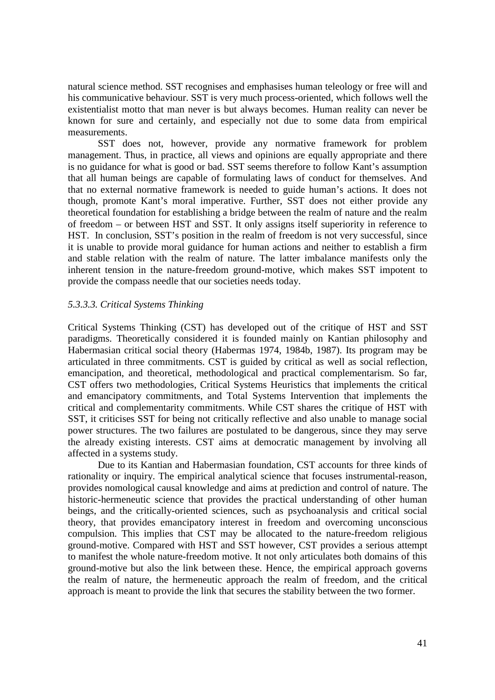natural science method. SST recognises and emphasises human teleology or free will and his communicative behaviour. SST is very much process-oriented, which follows well the existentialist motto that man never is but always becomes. Human reality can never be known for sure and certainly, and especially not due to some data from empirical measurements.

SST does not, however, provide any normative framework for problem management. Thus, in practice, all views and opinions are equally appropriate and there is no guidance for what is good or bad. SST seems therefore to follow Kant's assumption that all human beings are capable of formulating laws of conduct for themselves. And that no external normative framework is needed to guide human's actions. It does not though, promote Kant's moral imperative. Further, SST does not either provide any theoretical foundation for establishing a bridge between the realm of nature and the realm of freedom – or between HST and SST. It only assigns itself superiority in reference to HST. In conclusion, SST's position in the realm of freedom is not very successful, since it is unable to provide moral guidance for human actions and neither to establish a firm and stable relation with the realm of nature. The latter imbalance manifests only the inherent tension in the nature-freedom ground-motive, which makes SST impotent to provide the compass needle that our societies needs today.

#### *5.3.3.3. Critical Systems Thinking*

Critical Systems Thinking (CST) has developed out of the critique of HST and SST paradigms. Theoretically considered it is founded mainly on Kantian philosophy and Habermasian critical social theory (Habermas 1974, 1984b, 1987). Its program may be articulated in three commitments. CST is guided by critical as well as social reflection, emancipation, and theoretical, methodological and practical complementarism. So far, CST offers two methodologies, Critical Systems Heuristics that implements the critical and emancipatory commitments, and Total Systems Intervention that implements the critical and complementarity commitments. While CST shares the critique of HST with SST, it criticises SST for being not critically reflective and also unable to manage social power structures. The two failures are postulated to be dangerous, since they may serve the already existing interests. CST aims at democratic management by involving all affected in a systems study.

Due to its Kantian and Habermasian foundation, CST accounts for three kinds of rationality or inquiry. The empirical analytical science that focuses instrumental-reason, provides nomological causal knowledge and aims at prediction and control of nature. The historic-hermeneutic science that provides the practical understanding of other human beings, and the critically-oriented sciences, such as psychoanalysis and critical social theory, that provides emancipatory interest in freedom and overcoming unconscious compulsion. This implies that CST may be allocated to the nature-freedom religious ground-motive. Compared with HST and SST however, CST provides a serious attempt to manifest the whole nature-freedom motive. It not only articulates both domains of this ground-motive but also the link between these. Hence, the empirical approach governs the realm of nature, the hermeneutic approach the realm of freedom, and the critical approach is meant to provide the link that secures the stability between the two former.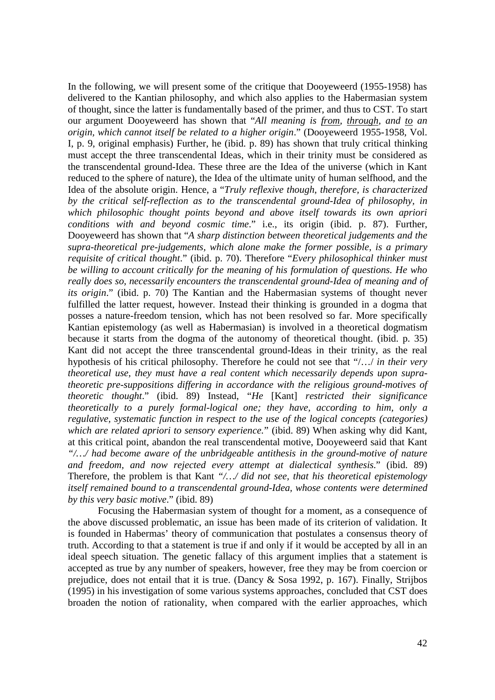In the following, we will present some of the critique that Dooyeweerd (1955-1958) has delivered to the Kantian philosophy, and which also applies to the Habermasian system of thought, since the latter is fundamentally based of the primer, and thus to CST. To start our argument Dooyeweerd has shown that "*All meaning is from, through, and to an origin, which cannot itself be related to a higher origin*." (Dooyeweerd 1955-1958, Vol. I, p. 9, original emphasis) Further, he (ibid. p. 89) has shown that truly critical thinking must accept the three transcendental Ideas, which in their trinity must be considered as the transcendental ground-Idea. These three are the Idea of the universe (which in Kant reduced to the sphere of nature), the Idea of the ultimate unity of human selfhood, and the Idea of the absolute origin. Hence, a "*Truly reflexive though, therefore, is characterized by the critical self-reflection as to the transcendental ground-Idea of philosophy, in which philosophic thought points beyond and above itself towards its own apriori conditions with and beyond cosmic time*." i.e., its origin (ibid. p. 87). Further, Dooyeweerd has shown that "*A sharp distinction between theoretical judgements and the supra-theoretical pre-judgements, which alone make the former possible, is a primary requisite of critical thought*." (ibid. p. 70). Therefore "*Every philosophical thinker must be willing to account critically for the meaning of his formulation of questions. He who really does so, necessarily encounters the transcendental ground-Idea of meaning and of its origin*." (ibid. p. 70) The Kantian and the Habermasian systems of thought never fulfilled the latter request, however. Instead their thinking is grounded in a dogma that posses a nature-freedom tension, which has not been resolved so far. More specifically Kantian epistemology (as well as Habermasian) is involved in a theoretical dogmatism because it starts from the dogma of the autonomy of theoretical thought. (ibid. p. 35) Kant did not accept the three transcendental ground-Ideas in their trinity, as the real hypothesis of his critical philosophy. Therefore he could not see that "/…/ *in their very theoretical use, they must have a real content which necessarily depends upon supratheoretic pre-suppositions differing in accordance with the religious ground-motives of theoretic thought*." (ibid. 89) Instead, "*He* [Kant] *restricted their significance theoretically to a purely formal-logical one; they have, according to him, only a regulative, systematic function in respect to the use of the logical concepts (categories) which are related apriori to sensory experience.*" (ibid. 89) When asking why did Kant, at this critical point, abandon the real transcendental motive, Dooyeweerd said that Kant *"/…/ had become aware of the unbridgeable antithesis in the ground-motive of nature and freedom, and now rejected every attempt at dialectical synthesis.*" (ibid. 89) Therefore, the problem is that Kant *"/…/ did not see, that his theoretical epistemology itself remained bound to a transcendental ground-Idea, whose contents were determined by this very basic motive*." (ibid. 89)

Focusing the Habermasian system of thought for a moment, as a consequence of the above discussed problematic, an issue has been made of its criterion of validation. It is founded in Habermas' theory of communication that postulates a consensus theory of truth. According to that a statement is true if and only if it would be accepted by all in an ideal speech situation. The genetic fallacy of this argument implies that a statement is accepted as true by any number of speakers, however, free they may be from coercion or prejudice, does not entail that it is true. (Dancy & Sosa 1992, p. 167). Finally, Strijbos (1995) in his investigation of some various systems approaches, concluded that CST does broaden the notion of rationality, when compared with the earlier approaches, which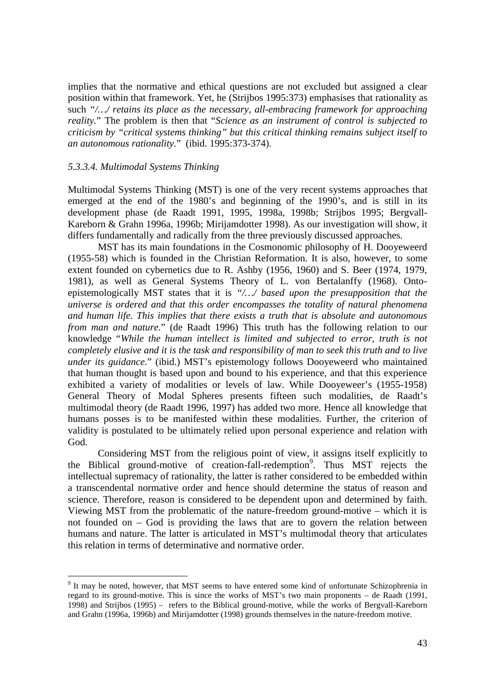implies that the normative and ethical questions are not excluded but assigned a clear position within that framework. Yet, he (Strijbos 1995:373) emphasises that rationality as such *"/…/ retains its place as the necessary, all-embracing framework for approaching reality.*" The problem is then that "*Science as an instrument of control is subjected to criticism by "critical systems thinking" but this critical thinking remains subject itself to an autonomous rationality.*" (ibid. 1995:373-374).

#### *5.3.3.4. Multimodal Systems Thinking*

<u>.</u>

Multimodal Systems Thinking (MST) is one of the very recent systems approaches that emerged at the end of the 1980's and beginning of the 1990's, and is still in its development phase (de Raadt 1991, 1995, 1998a, 1998b; Strijbos 1995; Bergvall-Kareborn & Grahn 1996a, 1996b; Mirijamdotter 1998). As our investigation will show, it differs fundamentally and radically from the three previously discussed approaches.

MST has its main foundations in the Cosmonomic philosophy of H. Dooyeweerd (1955-58) which is founded in the Christian Reformation. It is also, however, to some extent founded on cybernetics due to R. Ashby (1956, 1960) and S. Beer (1974, 1979, 1981), as well as General Systems Theory of L. von Bertalanffy (1968). Ontoepistemologically MST states that it is *"/…/ based upon the presupposition that the universe is ordered and that this order encompasses the totality of natural phenomena and human life. This implies that there exists a truth that is absolute and autonomous from man and nature.*" (de Raadt 1996) This truth has the following relation to our knowledge "*While the human intellect is limited and subjected to error, truth is not completely elusive and it is the task and responsibility of man to seek this truth and to live under its guidance.*" (ibid.) MST's epistemology follows Dooyeweerd who maintained that human thought is based upon and bound to his experience, and that this experience exhibited a variety of modalities or levels of law. While Dooyeweer's (1955-1958) General Theory of Modal Spheres presents fifteen such modalities, de Raadt's multimodal theory (de Raadt 1996, 1997) has added two more. Hence all knowledge that humans posses is to be manifested within these modalities. Further, the criterion of validity is postulated to be ultimately relied upon personal experience and relation with God.

Considering MST from the religious point of view, it assigns itself explicitly to the Biblical ground-motive of creation-fall-redemption<sup>9</sup>. Thus MST rejects the intellectual supremacy of rationality, the latter is rather considered to be embedded within a transcendental normative order and hence should determine the status of reason and science. Therefore, reason is considered to be dependent upon and determined by faith. Viewing MST from the problematic of the nature-freedom ground-motive – which it is not founded on – God is providing the laws that are to govern the relation between humans and nature. The latter is articulated in MST's multimodal theory that articulates this relation in terms of determinative and normative order.

<sup>&</sup>lt;sup>9</sup> It may be noted, however, that MST seems to have entered some kind of unfortunate Schizophrenia in regard to its ground-motive. This is since the works of MST's two main proponents – de Raadt (1991, 1998) and Strijbos (1995) – refers to the Biblical ground-motive, while the works of Bergvall-Kareborn and Grahn (1996a, 1996b) and Mirijamdotter (1998) grounds themselves in the nature-freedom motive.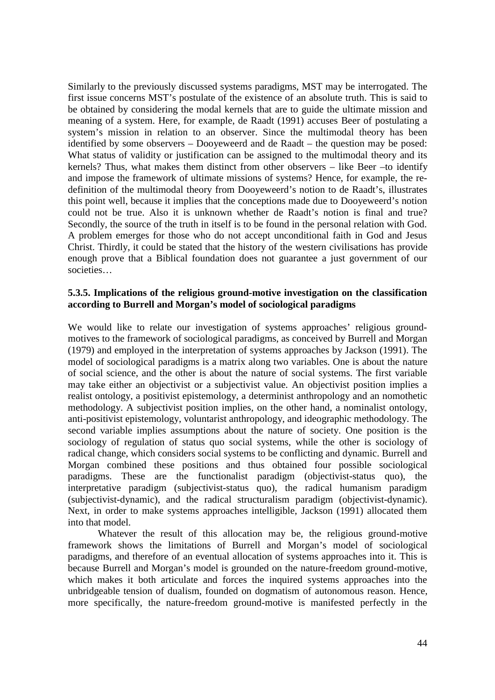Similarly to the previously discussed systems paradigms, MST may be interrogated. The first issue concerns MST's postulate of the existence of an absolute truth. This is said to be obtained by considering the modal kernels that are to guide the ultimate mission and meaning of a system. Here, for example, de Raadt (1991) accuses Beer of postulating a system's mission in relation to an observer. Since the multimodal theory has been identified by some observers – Dooyeweerd and de Raadt – the question may be posed: What status of validity or justification can be assigned to the multimodal theory and its kernels? Thus, what makes them distinct from other observers – like Beer –to identify and impose the framework of ultimate missions of systems? Hence, for example, the redefinition of the multimodal theory from Dooyeweerd's notion to de Raadt's, illustrates this point well, because it implies that the conceptions made due to Dooyeweerd's notion could not be true. Also it is unknown whether de Raadt's notion is final and true? Secondly, the source of the truth in itself is to be found in the personal relation with God. A problem emerges for those who do not accept unconditional faith in God and Jesus Christ. Thirdly, it could be stated that the history of the western civilisations has provide enough prove that a Biblical foundation does not guarantee a just government of our societies…

# **5.3.5. Implications of the religious ground-motive investigation on the classification according to Burrell and Morgan's model of sociological paradigms**

We would like to relate our investigation of systems approaches' religious groundmotives to the framework of sociological paradigms, as conceived by Burrell and Morgan (1979) and employed in the interpretation of systems approaches by Jackson (1991). The model of sociological paradigms is a matrix along two variables. One is about the nature of social science, and the other is about the nature of social systems. The first variable may take either an objectivist or a subjectivist value. An objectivist position implies a realist ontology, a positivist epistemology, a determinist anthropology and an nomothetic methodology. A subjectivist position implies, on the other hand, a nominalist ontology, anti-positivist epistemology, voluntarist anthropology, and ideographic methodology. The second variable implies assumptions about the nature of society. One position is the sociology of regulation of status quo social systems, while the other is sociology of radical change, which considers social systems to be conflicting and dynamic. Burrell and Morgan combined these positions and thus obtained four possible sociological paradigms. These are the functionalist paradigm (objectivist-status quo), the interpretative paradigm (subjectivist-status quo), the radical humanism paradigm (subjectivist-dynamic), and the radical structuralism paradigm (objectivist-dynamic). Next, in order to make systems approaches intelligible, Jackson (1991) allocated them into that model.

Whatever the result of this allocation may be, the religious ground-motive framework shows the limitations of Burrell and Morgan's model of sociological paradigms, and therefore of an eventual allocation of systems approaches into it. This is because Burrell and Morgan's model is grounded on the nature-freedom ground-motive, which makes it both articulate and forces the inquired systems approaches into the unbridgeable tension of dualism, founded on dogmatism of autonomous reason. Hence, more specifically, the nature-freedom ground-motive is manifested perfectly in the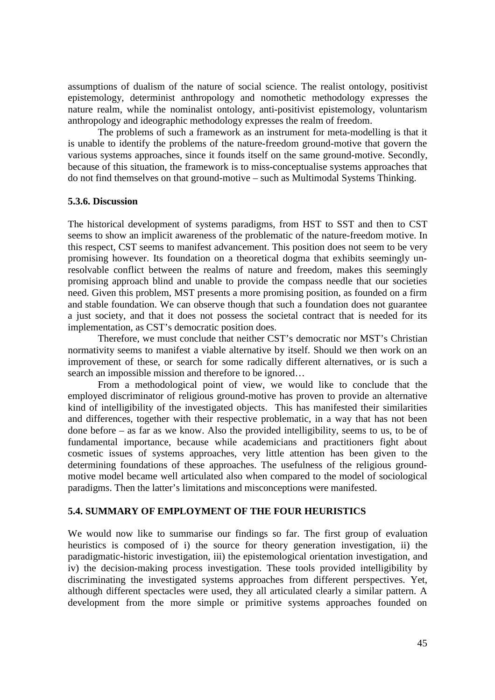assumptions of dualism of the nature of social science. The realist ontology, positivist epistemology, determinist anthropology and nomothetic methodology expresses the nature realm, while the nominalist ontology, anti-positivist epistemology, voluntarism anthropology and ideographic methodology expresses the realm of freedom.

The problems of such a framework as an instrument for meta-modelling is that it is unable to identify the problems of the nature-freedom ground-motive that govern the various systems approaches, since it founds itself on the same ground-motive. Secondly, because of this situation, the framework is to miss-conceptualise systems approaches that do not find themselves on that ground-motive – such as Multimodal Systems Thinking.

#### **5.3.6. Discussion**

The historical development of systems paradigms, from HST to SST and then to CST seems to show an implicit awareness of the problematic of the nature-freedom motive. In this respect, CST seems to manifest advancement. This position does not seem to be very promising however. Its foundation on a theoretical dogma that exhibits seemingly unresolvable conflict between the realms of nature and freedom, makes this seemingly promising approach blind and unable to provide the compass needle that our societies need. Given this problem, MST presents a more promising position, as founded on a firm and stable foundation. We can observe though that such a foundation does not guarantee a just society, and that it does not possess the societal contract that is needed for its implementation, as CST's democratic position does.

Therefore, we must conclude that neither CST's democratic nor MST's Christian normativity seems to manifest a viable alternative by itself. Should we then work on an improvement of these, or search for some radically different alternatives, or is such a search an impossible mission and therefore to be ignored…

From a methodological point of view, we would like to conclude that the employed discriminator of religious ground-motive has proven to provide an alternative kind of intelligibility of the investigated objects. This has manifested their similarities and differences, together with their respective problematic, in a way that has not been done before – as far as we know. Also the provided intelligibility, seems to us, to be of fundamental importance, because while academicians and practitioners fight about cosmetic issues of systems approaches, very little attention has been given to the determining foundations of these approaches. The usefulness of the religious groundmotive model became well articulated also when compared to the model of sociological paradigms. Then the latter's limitations and misconceptions were manifested.

#### **5.4. SUMMARY OF EMPLOYMENT OF THE FOUR HEURISTICS**

We would now like to summarise our findings so far. The first group of evaluation heuristics is composed of i) the source for theory generation investigation, ii) the paradigmatic-historic investigation, iii) the epistemological orientation investigation, and iv) the decision-making process investigation. These tools provided intelligibility by discriminating the investigated systems approaches from different perspectives. Yet, although different spectacles were used, they all articulated clearly a similar pattern. A development from the more simple or primitive systems approaches founded on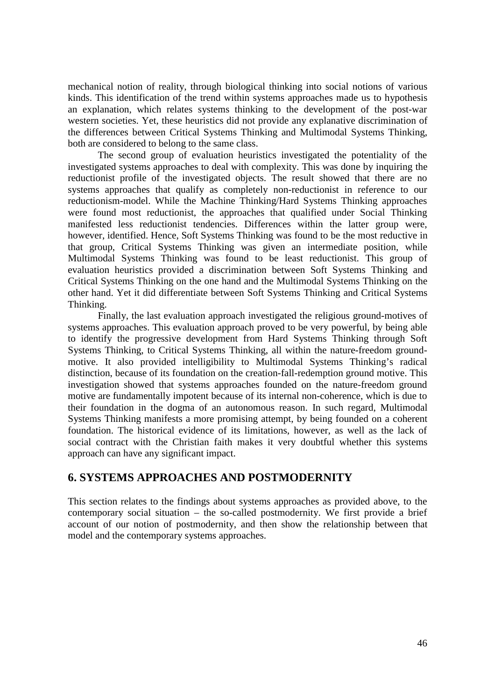mechanical notion of reality, through biological thinking into social notions of various kinds. This identification of the trend within systems approaches made us to hypothesis an explanation, which relates systems thinking to the development of the post-war western societies. Yet, these heuristics did not provide any explanative discrimination of the differences between Critical Systems Thinking and Multimodal Systems Thinking, both are considered to belong to the same class.

The second group of evaluation heuristics investigated the potentiality of the investigated systems approaches to deal with complexity. This was done by inquiring the reductionist profile of the investigated objects. The result showed that there are no systems approaches that qualify as completely non-reductionist in reference to our reductionism-model. While the Machine Thinking/Hard Systems Thinking approaches were found most reductionist, the approaches that qualified under Social Thinking manifested less reductionist tendencies. Differences within the latter group were, however, identified. Hence, Soft Systems Thinking was found to be the most reductive in that group, Critical Systems Thinking was given an intermediate position, while Multimodal Systems Thinking was found to be least reductionist. This group of evaluation heuristics provided a discrimination between Soft Systems Thinking and Critical Systems Thinking on the one hand and the Multimodal Systems Thinking on the other hand. Yet it did differentiate between Soft Systems Thinking and Critical Systems Thinking.

Finally, the last evaluation approach investigated the religious ground-motives of systems approaches. This evaluation approach proved to be very powerful, by being able to identify the progressive development from Hard Systems Thinking through Soft Systems Thinking, to Critical Systems Thinking, all within the nature-freedom groundmotive. It also provided intelligibility to Multimodal Systems Thinking's radical distinction, because of its foundation on the creation-fall-redemption ground motive. This investigation showed that systems approaches founded on the nature-freedom ground motive are fundamentally impotent because of its internal non-coherence, which is due to their foundation in the dogma of an autonomous reason. In such regard, Multimodal Systems Thinking manifests a more promising attempt, by being founded on a coherent foundation. The historical evidence of its limitations, however, as well as the lack of social contract with the Christian faith makes it very doubtful whether this systems approach can have any significant impact.

# **6. SYSTEMS APPROACHES AND POSTMODERNITY**

This section relates to the findings about systems approaches as provided above, to the contemporary social situation – the so-called postmodernity. We first provide a brief account of our notion of postmodernity, and then show the relationship between that model and the contemporary systems approaches.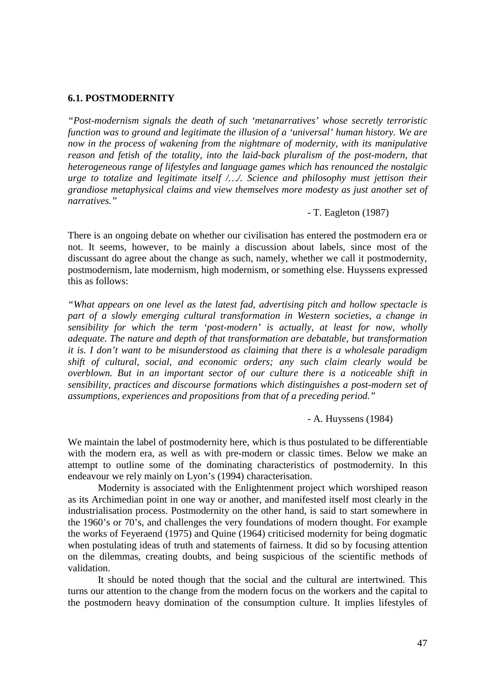#### **6.1. POSTMODERNITY**

*"Post-modernism signals the death of such 'metanarratives' whose secretly terroristic function was to ground and legitimate the illusion of a 'universal' human history. We are now in the process of wakening from the nightmare of modernity, with its manipulative reason and fetish of the totality, into the laid-back pluralism of the post-modern, that heterogeneous range of lifestyles and language games which has renounced the nostalgic urge to totalize and legitimate itself /…/. Science and philosophy must jettison their grandiose metaphysical claims and view themselves more modesty as just another set of narratives."*

- T. Eagleton (1987)

There is an ongoing debate on whether our civilisation has entered the postmodern era or not. It seems, however, to be mainly a discussion about labels, since most of the discussant do agree about the change as such, namely, whether we call it postmodernity, postmodernism, late modernism, high modernism, or something else. Huyssens expressed this as follows:

*"What appears on one level as the latest fad, advertising pitch and hollow spectacle is part of a slowly emerging cultural transformation in Western societies, a change in sensibility for which the term 'post-modern' is actually, at least for now, wholly adequate. The nature and depth of that transformation are debatable, but transformation it is. I don't want to be misunderstood as claiming that there is a wholesale paradigm shift of cultural, social, and economic orders; any such claim clearly would be overblown. But in an important sector of our culture there is a noticeable shift in sensibility, practices and discourse formations which distinguishes a post-modern set of assumptions, experiences and propositions from that of a preceding period."*

- A. Huyssens (1984)

We maintain the label of postmodernity here, which is thus postulated to be differentiable with the modern era, as well as with pre-modern or classic times. Below we make an attempt to outline some of the dominating characteristics of postmodernity. In this endeavour we rely mainly on Lyon's (1994) characterisation.

Modernity is associated with the Enlightenment project which worshiped reason as its Archimedian point in one way or another, and manifested itself most clearly in the industrialisation process. Postmodernity on the other hand, is said to start somewhere in the 1960's or 70's, and challenges the very foundations of modern thought. For example the works of Feyeraend (1975) and Quine (1964) criticised modernity for being dogmatic when postulating ideas of truth and statements of fairness. It did so by focusing attention on the dilemmas, creating doubts, and being suspicious of the scientific methods of validation.

It should be noted though that the social and the cultural are intertwined. This turns our attention to the change from the modern focus on the workers and the capital to the postmodern heavy domination of the consumption culture. It implies lifestyles of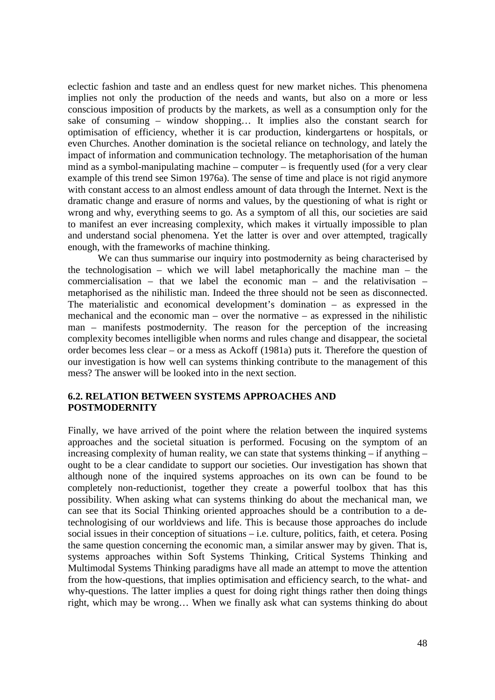eclectic fashion and taste and an endless quest for new market niches. This phenomena implies not only the production of the needs and wants, but also on a more or less conscious imposition of products by the markets, as well as a consumption only for the sake of consuming – window shopping… It implies also the constant search for optimisation of efficiency, whether it is car production, kindergartens or hospitals, or even Churches. Another domination is the societal reliance on technology, and lately the impact of information and communication technology. The metaphorisation of the human mind as a symbol-manipulating machine – computer – is frequently used (for a very clear example of this trend see Simon 1976a). The sense of time and place is not rigid anymore with constant access to an almost endless amount of data through the Internet. Next is the dramatic change and erasure of norms and values, by the questioning of what is right or wrong and why, everything seems to go. As a symptom of all this, our societies are said to manifest an ever increasing complexity, which makes it virtually impossible to plan and understand social phenomena. Yet the latter is over and over attempted, tragically enough, with the frameworks of machine thinking.

We can thus summarise our inquiry into postmodernity as being characterised by the technologisation – which we will label metaphorically the machine man – the commercialisation – that we label the economic man – and the relativisation – metaphorised as the nihilistic man. Indeed the three should not be seen as disconnected. The materialistic and economical development's domination – as expressed in the mechanical and the economic man – over the normative – as expressed in the nihilistic man – manifests postmodernity. The reason for the perception of the increasing complexity becomes intelligible when norms and rules change and disappear, the societal order becomes less clear – or a mess as Ackoff (1981a) puts it. Therefore the question of our investigation is how well can systems thinking contribute to the management of this mess? The answer will be looked into in the next section.

# **6.2. RELATION BETWEEN SYSTEMS APPROACHES AND POSTMODERNITY**

Finally, we have arrived of the point where the relation between the inquired systems approaches and the societal situation is performed. Focusing on the symptom of an increasing complexity of human reality, we can state that systems thinking – if anything – ought to be a clear candidate to support our societies. Our investigation has shown that although none of the inquired systems approaches on its own can be found to be completely non-reductionist, together they create a powerful toolbox that has this possibility. When asking what can systems thinking do about the mechanical man, we can see that its Social Thinking oriented approaches should be a contribution to a detechnologising of our worldviews and life. This is because those approaches do include social issues in their conception of situations – i.e. culture, politics, faith, et cetera. Posing the same question concerning the economic man, a similar answer may by given. That is, systems approaches within Soft Systems Thinking, Critical Systems Thinking and Multimodal Systems Thinking paradigms have all made an attempt to move the attention from the how-questions, that implies optimisation and efficiency search, to the what- and why-questions. The latter implies a quest for doing right things rather then doing things right, which may be wrong… When we finally ask what can systems thinking do about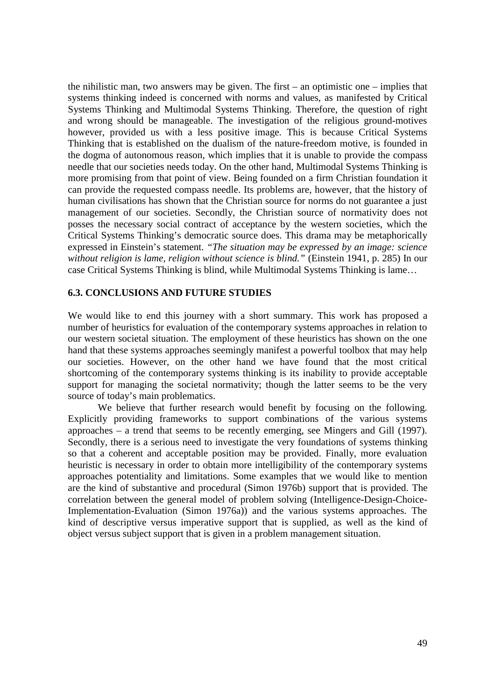the nihilistic man, two answers may be given. The first – an optimistic one – implies that systems thinking indeed is concerned with norms and values, as manifested by Critical Systems Thinking and Multimodal Systems Thinking. Therefore, the question of right and wrong should be manageable. The investigation of the religious ground-motives however, provided us with a less positive image. This is because Critical Systems Thinking that is established on the dualism of the nature-freedom motive, is founded in the dogma of autonomous reason, which implies that it is unable to provide the compass needle that our societies needs today. On the other hand, Multimodal Systems Thinking is more promising from that point of view. Being founded on a firm Christian foundation it can provide the requested compass needle. Its problems are, however, that the history of human civilisations has shown that the Christian source for norms do not guarantee a just management of our societies. Secondly, the Christian source of normativity does not posses the necessary social contract of acceptance by the western societies, which the Critical Systems Thinking's democratic source does. This drama may be metaphorically expressed in Einstein's statement. *"The situation may be expressed by an image: science without religion is lame, religion without science is blind."* (Einstein 1941, p. 285) In our case Critical Systems Thinking is blind, while Multimodal Systems Thinking is lame…

# **6.3. CONCLUSIONS AND FUTURE STUDIES**

We would like to end this journey with a short summary. This work has proposed a number of heuristics for evaluation of the contemporary systems approaches in relation to our western societal situation. The employment of these heuristics has shown on the one hand that these systems approaches seemingly manifest a powerful toolbox that may help our societies. However, on the other hand we have found that the most critical shortcoming of the contemporary systems thinking is its inability to provide acceptable support for managing the societal normativity; though the latter seems to be the very source of today's main problematics.

We believe that further research would benefit by focusing on the following. Explicitly providing frameworks to support combinations of the various systems approaches – a trend that seems to be recently emerging, see Mingers and Gill (1997). Secondly, there is a serious need to investigate the very foundations of systems thinking so that a coherent and acceptable position may be provided. Finally, more evaluation heuristic is necessary in order to obtain more intelligibility of the contemporary systems approaches potentiality and limitations. Some examples that we would like to mention are the kind of substantive and procedural (Simon 1976b) support that is provided. The correlation between the general model of problem solving (Intelligence-Design-Choice-Implementation-Evaluation (Simon 1976a)) and the various systems approaches. The kind of descriptive versus imperative support that is supplied, as well as the kind of object versus subject support that is given in a problem management situation.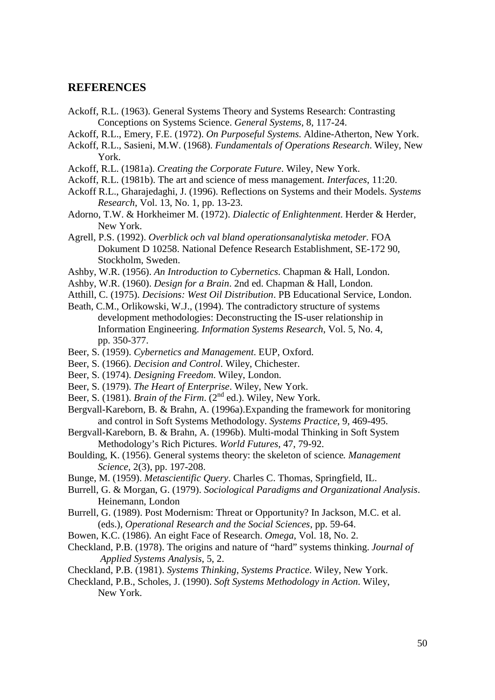# **REFERENCES**

- Ackoff, R.L. (1963). General Systems Theory and Systems Research: Contrasting Conceptions on Systems Science. *General Systems*, 8, 117-24.
- Ackoff, R.L., Emery, F.E. (1972). *On Purposeful Systems*. Aldine-Atherton, New York.
- Ackoff, R.L., Sasieni, M.W. (1968). *Fundamentals of Operations Research*. Wiley, New York.
- Ackoff, R.L. (1981a). *Creating the Corporate Future*. Wiley, New York.
- Ackoff, R.L. (1981b). The art and science of mess management. *Interfaces*, 11:20.
- Ackoff R.L., Gharajedaghi, J. (1996). Reflections on Systems and their Models. *Systems Research*, Vol. 13, No. 1, pp. 13-23.
- Adorno, T.W. & Horkheimer M. (1972). *Dialectic of Enlightenment*. Herder & Herder, New York.
- Agrell, P.S. (1992). *Overblick och val bland operationsanalytiska metoder*. FOA Dokument D 10258. National Defence Research Establishment, SE-172 90, Stockholm, Sweden.
- Ashby, W.R. (1956). *An Introduction to Cybernetics*. Chapman & Hall, London.
- Ashby, W.R. (1960). *Design for a Brain*. 2nd ed. Chapman & Hall, London.
- Atthill, C. (1975). *Decisions: West Oil Distribution*. PB Educational Service, London.
- Beath, C.M., Orlikowski, W.J., (1994). The contradictory structure of systems development methodologies: Deconstructing the IS-user relationship in Information Engineering. *Information Systems Research*, Vol. 5, No. 4, pp. 350-377.
- Beer, S. (1959). *Cybernetics and Management*. EUP, Oxford.
- Beer, S. (1966). *Decision and Control*. Wiley, Chichester.
- Beer, S. (1974). *Designing Freedom*. Wiley, London.
- Beer, S. (1979). *The Heart of Enterprise*. Wiley, New York.
- Beer, S. (1981). *Brain of the Firm.* (2<sup>nd</sup> ed.). Wiley, New York.
- Bergvall-Kareborn, B. & Brahn, A. (1996a).Expanding the framework for monitoring and control in Soft Systems Methodology. *Systems Practice*, 9, 469-495.
- Bergvall-Kareborn, B. & Brahn, A. (1996b). Multi-modal Thinking in Soft System Methodology's Rich Pictures. *World Futures*, 47, 79-92.
- Boulding, K. (1956). General systems theory: the skeleton of science*. Management Science,* 2(3), pp. 197-208.
- Bunge, M. (1959). *Metascientific Query*. Charles C. Thomas, Springfield, IL.
- Burrell, G. & Morgan, G. (1979). *Sociological Paradigms and Organizational Analysis*. Heinemann, London
- Burrell, G. (1989). Post Modernism: Threat or Opportunity? In Jackson, M.C. et al. (eds.), *Operational Research and the Social Sciences*, pp. 59-64.
- Bowen, K.C. (1986). An eight Face of Research. *Omega*, Vol. 18, No. 2.
- Checkland, P.B. (1978). The origins and nature of "hard" systems thinking. *Journal of Applied Systems Analysis*, 5, 2.
- Checkland, P.B. (1981). *Systems Thinking, Systems Practice*. Wiley, New York.

Checkland, P.B., Scholes, J. (1990). *Soft Systems Methodology in Action*. Wiley, New York.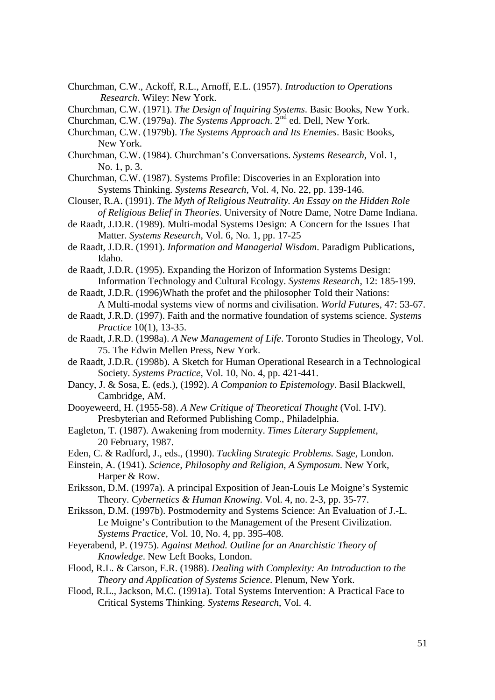- Churchman, C.W., Ackoff, R.L., Arnoff, E.L. (1957). *Introduction to Operations Research*. Wiley: New York.
- Churchman, C.W. (1971). *The Design of Inquiring Systems*. Basic Books, New York.
- Churchman, C.W. (1979a). *The Systems Approach*. 2nd ed. Dell, New York.
- Churchman, C.W. (1979b). *The Systems Approach and Its Enemies*. Basic Books, New York.
- Churchman, C.W. (1984). Churchman's Conversations. *Systems Research*, Vol. 1, No. 1, p. 3.
- Churchman, C.W. (1987). Systems Profile: Discoveries in an Exploration into Systems Thinking. *Systems Research*, Vol. 4, No. 22, pp. 139-146.
- Clouser, R.A. (1991). *The Myth of Religious Neutrality. An Essay on the Hidden Role of Religious Belief in Theories*. University of Notre Dame, Notre Dame Indiana.
- de Raadt, J.D.R. (1989). Multi-modal Systems Design: A Concern for the Issues That Matter. *Systems Research*, Vol. 6, No. 1, pp. 17-25
- de Raadt, J.D.R. (1991). *Information and Managerial Wisdom*. Paradigm Publications, Idaho.
- de Raadt, J.D.R. (1995). Expanding the Horizon of Information Systems Design: Information Technology and Cultural Ecology. *Systems Research*, 12: 185-199.
- de Raadt, J.D.R. (1996)Whath the profet and the philosopher Told their Nations: A Multi-modal systems view of norms and civilisation. *World Futures*, 47: 53-67.
- de Raadt, J.R.D. (1997). Faith and the normative foundation of systems science. *Systems Practice* 10(1), 13-35.
- de Raadt, J.R.D. (1998a). *A New Management of Life*. Toronto Studies in Theology, Vol. 75. The Edwin Mellen Press, New York.
- de Raadt, J.D.R. (1998b). A Sketch for Human Operational Research in a Technological Society. *Systems Practice*, Vol. 10, No. 4, pp. 421-441.
- Dancy, J. & Sosa, E. (eds.), (1992). *A Companion to Epistemology*. Basil Blackwell, Cambridge, AM.
- Dooyeweerd, H. (1955-58). *A New Critique of Theoretical Thought* (Vol. I-IV). Presbyterian and Reformed Publishing Comp., Philadelphia.
- Eagleton, T. (1987). Awakening from modernity. *Times Literary Supplement*, 20 February, 1987.
- Eden, C. & Radford, J., eds., (1990). *Tackling Strategic Problems*. Sage, London.
- Einstein, A. (1941). *Science, Philosophy and Religion, A Symposum*. New York, Harper & Row.
- Eriksson, D.M. (1997a). A principal Exposition of Jean-Louis Le Moigne's Systemic Theory. *Cybernetics & Human Knowing*. Vol. 4, no. 2-3, pp. 35-77.
- Eriksson, D.M. (1997b). Postmodernity and Systems Science: An Evaluation of J.-L. Le Moigne's Contribution to the Management of the Present Civilization. *Systems Practice*, Vol. 10, No. 4, pp. 395-408.
- Feyerabend, P. (1975). *Against Method. Outline for an Anarchistic Theory of Knowledge*. New Left Books, London.
- Flood, R.L. & Carson, E.R. (1988). *Dealing with Complexity: An Introduction to the Theory and Application of Systems Science*. Plenum, New York.
- Flood, R.L., Jackson, M.C. (1991a). Total Systems Intervention: A Practical Face to Critical Systems Thinking. *Systems Research*, Vol. 4.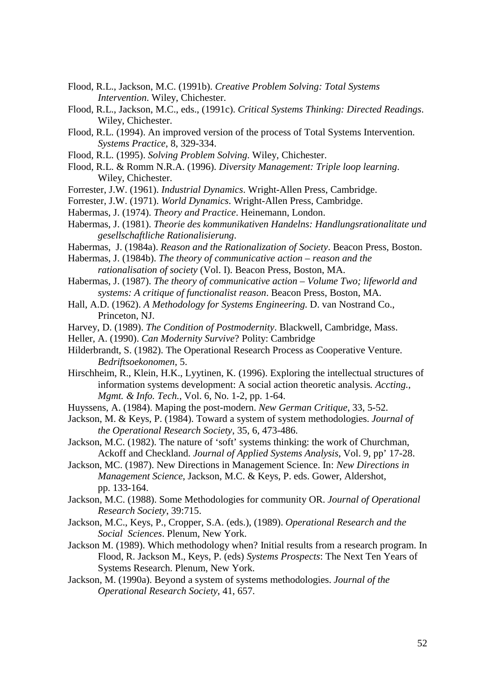- Flood, R.L., Jackson, M.C. (1991b). *Creative Problem Solving: Total Systems Intervention*. Wiley, Chichester.
- Flood, R.L., Jackson, M.C., eds., (1991c). *Critical Systems Thinking: Directed Readings*. Wiley, Chichester.
- Flood, R.L. (1994). An improved version of the process of Total Systems Intervention. *Systems Practice*, 8, 329-334.
- Flood, R.L. (1995). *Solving Problem Solving*. Wiley, Chichester.
- Flood, R.L. & Romm N.R.A. (1996). *Diversity Management: Triple loop learning*. Wiley, Chichester.
- Forrester, J.W. (1961). *Industrial Dynamics*. Wright-Allen Press, Cambridge.
- Forrester, J.W. (1971). *World Dynamics*. Wright-Allen Press, Cambridge.
- Habermas, J. (1974). *Theory and Practice*. Heinemann, London.
- Habermas, J. (1981). *Theorie des kommunikativen Handelns: Handlungsrationalitate und gesellschaftliche Rationalisierung*.
- Habermas, J. (1984a). *Reason and the Rationalization of Society*. Beacon Press, Boston.

Habermas, J. (1984b). *The theory of communicative action – reason and the rationalisation of society* (Vol. I). Beacon Press, Boston, MA.

- Habermas, J. (1987). *The theory of communicative action Volume Two; lifeworld and systems: A critique of functionalist reason*. Beacon Press, Boston, MA.
- Hall, A.D. (1962). *A Methodology for Systems Engineering*. D. van Nostrand Co., Princeton, NJ.
- Harvey, D. (1989). *The Condition of Postmodernity*. Blackwell, Cambridge, Mass.
- Heller, A. (1990). *Can Modernity Survive*? Polity: Cambridge
- Hilderbrandt, S. (1982). The Operational Research Process as Cooperative Venture. *Bedriftsoekonomen*, 5.
- Hirschheim, R., Klein, H.K., Lyytinen, K. (1996). Exploring the intellectual structures of information systems development: A social action theoretic analysis*. Accting., Mgmt. & Info. Tech.*, Vol. 6, No. 1-2, pp. 1-64.
- Huyssens, A. (1984). Maping the post-modern. *New German Critique*, 33, 5-52.
- Jackson, M. & Keys, P. (1984). Toward a system of system methodologies. *Journal of the Operational Research Society*, 35, 6, 473-486.
- Jackson, M.C. (1982). The nature of 'soft' systems thinking: the work of Churchman, Ackoff and Checkland. *Journal of Applied Systems Analysis*, Vol. 9, pp' 17-28.
- Jackson, MC. (1987). New Directions in Management Science. In: *New Directions in Management Science*, Jackson, M.C. & Keys, P. eds. Gower, Aldershot, pp. 133-164.
- Jackson, M.C. (1988). Some Methodologies for community OR. *Journal of Operational Research Society*, 39:715.
- Jackson, M.C., Keys, P., Cropper, S.A. (eds.), (1989). *Operational Research and the Social Sciences*. Plenum, New York.
- Jackson M. (1989). Which methodology when? Initial results from a research program. In Flood, R. Jackson M., Keys, P. (eds) *Systems Prospects*: The Next Ten Years of Systems Research. Plenum, New York.
- Jackson, M. (1990a). Beyond a system of systems methodologies. *Journal of the Operational Research Society*, 41, 657.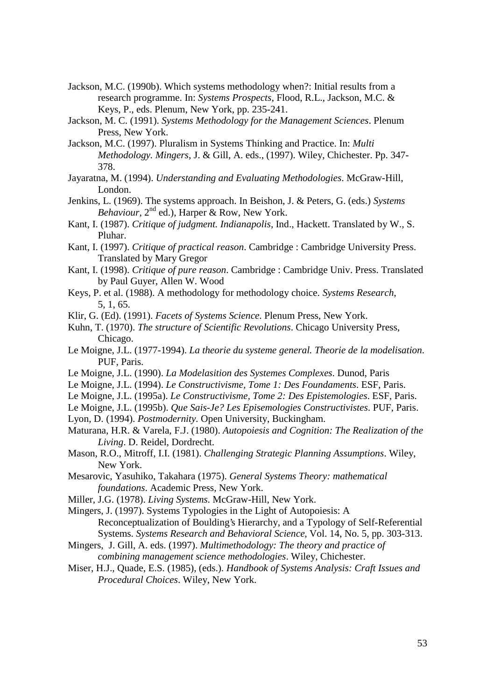- Jackson, M.C. (1990b). Which systems methodology when?: Initial results from a research programme. In: *Systems Prospects*, Flood, R.L., Jackson, M.C. & Keys, P., eds. Plenum, New York, pp. 235-241.
- Jackson, M. C. (1991). *Systems Methodology for the Management Sciences*. Plenum Press, New York.
- Jackson, M.C. (1997). Pluralism in Systems Thinking and Practice. In: *Multi Methodology. Mingers*, J. & Gill, A. eds., (1997). Wiley, Chichester. Pp. 347- 378.
- Jayaratna, M. (1994). *Understanding and Evaluating Methodologies*. McGraw-Hill, London.
- Jenkins, L. (1969). The systems approach. In Beishon, J. & Peters, G. (eds.) *Systems Behaviour*, 2nd ed.), Harper & Row, New York.
- Kant, I. (1987). *Critique of judgment. Indianapolis*, Ind., Hackett. Translated by W., S. Pluhar.
- Kant, I. (1997). *Critique of practical reason*. Cambridge : Cambridge University Press. Translated by Mary Gregor
- Kant, I. (1998). *Critique of pure reason*. Cambridge : Cambridge Univ. Press. Translated by Paul Guyer, Allen W. Wood
- Keys, P. et al. (1988). A methodology for methodology choice. *Systems Research*, 5, 1, 65.
- Klir, G. (Ed). (1991). *Facets of Systems Science*. Plenum Press, New York.
- Kuhn, T. (1970). *The structure of Scientific Revolutions*. Chicago University Press, Chicago.
- Le Moigne, J.L. (1977-1994). *La theorie du systeme general. Theorie de la modelisation*. PUF, Paris.
- Le Moigne, J.L. (1990). *La Modelasition des Systemes Complexes*. Dunod, Paris
- Le Moigne, J.L. (1994). *Le Constructivisme, Tome 1: Des Foundaments*. ESF, Paris.
- Le Moigne, J.L. (1995a). *Le Constructivisme, Tome 2: Des Epistemologies*. ESF, Paris.
- Le Moigne, J.L. (1995b). *Que Sais-Je? Les Episemologies Constructivistes*. PUF, Paris.
- Lyon, D. (1994). *Postmodernity.* Open University, Buckingham.
- Maturana, H.R. & Varela, F.J. (1980). *Autopoiesis and Cognition: The Realization of the Living*. D. Reidel, Dordrecht.
- Mason, R.O., Mitroff, I.I. (1981). *Challenging Strategic Planning Assumptions*. Wiley, New York.
- Mesarovic, Yasuhiko, Takahara (1975). *General Systems Theory: mathematical foundations*. Academic Press, New York.
- Miller, J.G. (1978). *Living Systems*. McGraw-Hill, New York.
- Mingers, J. (1997). Systems Typologies in the Light of Autopoiesis: A Reconceptualization of Boulding's Hierarchy, and a Typology of Self-Referential Systems. *Systems Research and Behavioral Science*, Vol. 14, No. 5, pp. 303-313.
- Mingers, J. Gill, A. eds. (1997). *Multimethodology: The theory and practice of combining management science methodologies*. Wiley, Chichester.
- Miser, H.J., Quade, E.S. (1985), (eds.). *Handbook of Systems Analysis: Craft Issues and Procedural Choices*. Wiley, New York.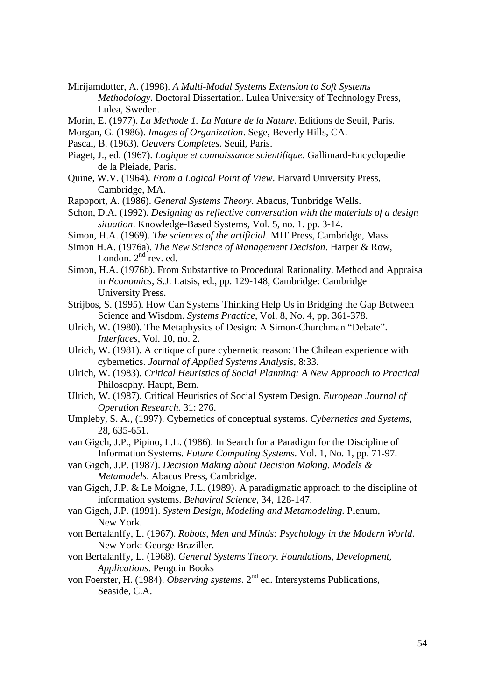- Mirijamdotter, A. (1998). *A Multi-Modal Systems Extension to Soft Systems Methodology*. Doctoral Dissertation. Lulea University of Technology Press, Lulea, Sweden.
- Morin, E. (1977). *La Methode 1. La Nature de la Nature*. Editions de Seuil, Paris.
- Morgan, G. (1986). *Images of Organization*. Sege, Beverly Hills, CA.
- Pascal, B. (1963). *Oeuvers Completes*. Seuil, Paris.
- Piaget, J., ed. (1967). *Logique et connaissance scientifique*. Gallimard-Encyclopedie de la Pleiade, Paris.
- Quine, W.V. (1964). *From a Logical Point of View*. Harvard University Press, Cambridge, MA.
- Rapoport, A. (1986). *General Systems Theory*. Abacus, Tunbridge Wells.
- Schon, D.A. (1992). *Designing as reflective conversation with the materials of a design situation*. Knowledge-Based Systems, Vol. 5, no. 1. pp. 3-14.
- Simon, H.A. (1969). *The sciences of the artificial*. MIT Press, Cambridge, Mass.
- Simon H.A. (1976a). *The New Science of Management Decision*. Harper & Row, London.  $2<sup>nd</sup>$  rev. ed.
- Simon, H.A. (1976b). From Substantive to Procedural Rationality. Method and Appraisal in *Economics*, S.J. Latsis, ed., pp. 129-148, Cambridge: Cambridge University Press.
- Strijbos, S. (1995). How Can Systems Thinking Help Us in Bridging the Gap Between Science and Wisdom. *Systems Practice*, Vol. 8, No. 4, pp. 361-378.
- Ulrich, W. (1980). The Metaphysics of Design: A Simon-Churchman "Debate". *Interfaces*, Vol. 10, no. 2.
- Ulrich, W. (1981). A critique of pure cybernetic reason: The Chilean experience with cybernetics. *Journal of Applied Systems Analysis*, 8:33.
- Ulrich, W. (1983). *Critical Heuristics of Social Planning: A New Approach to Practical* Philosophy. Haupt, Bern.
- Ulrich, W. (1987). Critical Heuristics of Social System Design. *European Journal of Operation Research*. 31: 276.
- Umpleby, S. A., (1997). Cybernetics of conceptual systems. *Cybernetics and Systems*, 28, 635-651.
- van Gigch, J.P., Pipino, L.L. (1986). In Search for a Paradigm for the Discipline of Information Systems. *Future Computing Systems*. Vol. 1, No. 1, pp. 71-97.
- van Gigch, J.P. (1987). *Decision Making about Decision Making. Models & Metamodels*. Abacus Press, Cambridge.
- van Gigch, J.P. & Le Moigne, J.L. (1989). A paradigmatic approach to the discipline of information systems. *Behaviral Science*, 34, 128-147.
- van Gigch, J.P. (1991). *System Design, Modeling and Metamodeling*. Plenum, New York.
- von Bertalanffy, L. (1967). *Robots, Men and Minds: Psychology in the Modern World*. New York: George Braziller.
- von Bertalanffy, L. (1968). *General Systems Theory. Foundations, Development, Applications*. Penguin Books
- von Foerster, H. (1984). *Observing systems*. 2nd ed. Intersystems Publications, Seaside, C.A.